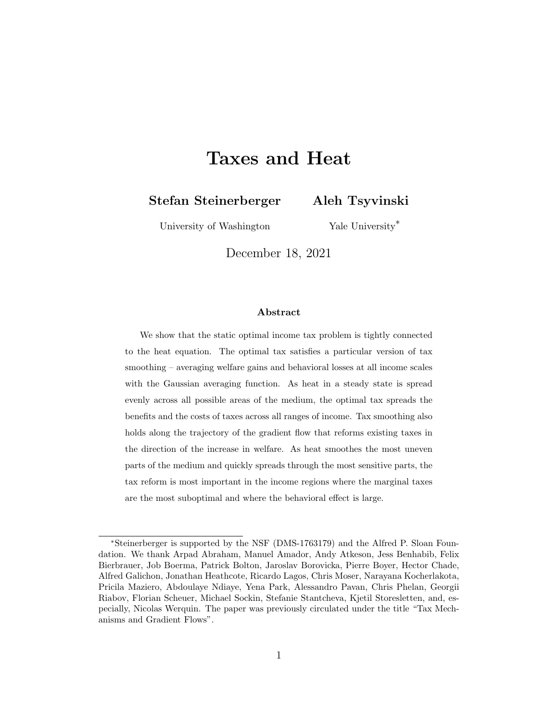# Taxes and Heat

Stefan Steinerberger

Aleh Tsyvinski

University of Washington

Yale University<sup>∗</sup>

December 18, 2021

#### Abstract

We show that the static optimal income tax problem is tightly connected to the heat equation. The optimal tax satisfies a particular version of tax smoothing – averaging welfare gains and behavioral losses at all income scales with the Gaussian averaging function. As heat in a steady state is spread evenly across all possible areas of the medium, the optimal tax spreads the benefits and the costs of taxes across all ranges of income. Tax smoothing also holds along the trajectory of the gradient flow that reforms existing taxes in the direction of the increase in welfare. As heat smoothes the most uneven parts of the medium and quickly spreads through the most sensitive parts, the tax reform is most important in the income regions where the marginal taxes are the most suboptimal and where the behavioral effect is large.

<sup>∗</sup>Steinerberger is supported by the NSF (DMS-1763179) and the Alfred P. Sloan Foundation. We thank Arpad Abraham, Manuel Amador, Andy Atkeson, Jess Benhabib, Felix Bierbrauer, Job Boerma, Patrick Bolton, Jaroslav Borovicka, Pierre Boyer, Hector Chade, Alfred Galichon, Jonathan Heathcote, Ricardo Lagos, Chris Moser, Narayana Kocherlakota, Pricila Maziero, Abdoulaye Ndiaye, Yena Park, Alessandro Pavan, Chris Phelan, Georgii Riabov, Florian Scheuer, Michael Sockin, Stefanie Stantcheva, Kjetil Storesletten, and, especially, Nicolas Werquin. The paper was previously circulated under the title "Tax Mechanisms and Gradient Flows".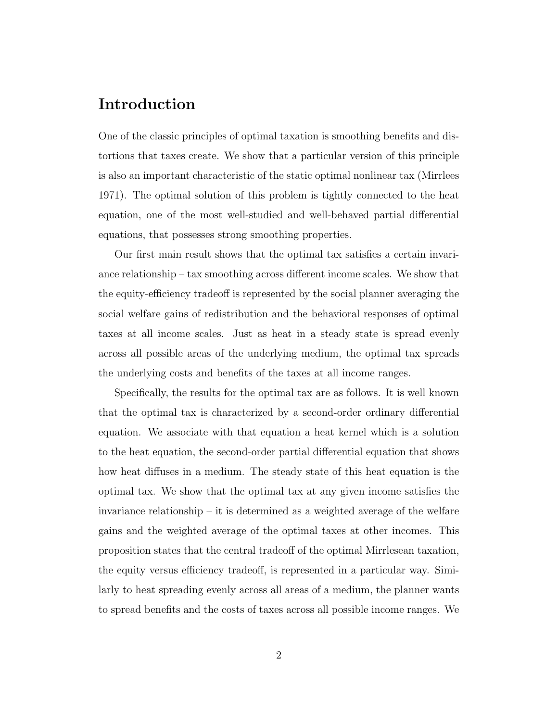## Introduction

One of the classic principles of optimal taxation is smoothing benefits and distortions that taxes create. We show that a particular version of this principle is also an important characteristic of the static optimal nonlinear tax (Mirrlees 1971). The optimal solution of this problem is tightly connected to the heat equation, one of the most well-studied and well-behaved partial differential equations, that possesses strong smoothing properties.

Our first main result shows that the optimal tax satisfies a certain invariance relationship – tax smoothing across different income scales. We show that the equity-efficiency tradeoff is represented by the social planner averaging the social welfare gains of redistribution and the behavioral responses of optimal taxes at all income scales. Just as heat in a steady state is spread evenly across all possible areas of the underlying medium, the optimal tax spreads the underlying costs and benefits of the taxes at all income ranges.

Specifically, the results for the optimal tax are as follows. It is well known that the optimal tax is characterized by a second-order ordinary differential equation. We associate with that equation a heat kernel which is a solution to the heat equation, the second-order partial differential equation that shows how heat diffuses in a medium. The steady state of this heat equation is the optimal tax. We show that the optimal tax at any given income satisfies the invariance relationship – it is determined as a weighted average of the welfare gains and the weighted average of the optimal taxes at other incomes. This proposition states that the central tradeoff of the optimal Mirrlesean taxation, the equity versus efficiency tradeoff, is represented in a particular way. Similarly to heat spreading evenly across all areas of a medium, the planner wants to spread benefits and the costs of taxes across all possible income ranges. We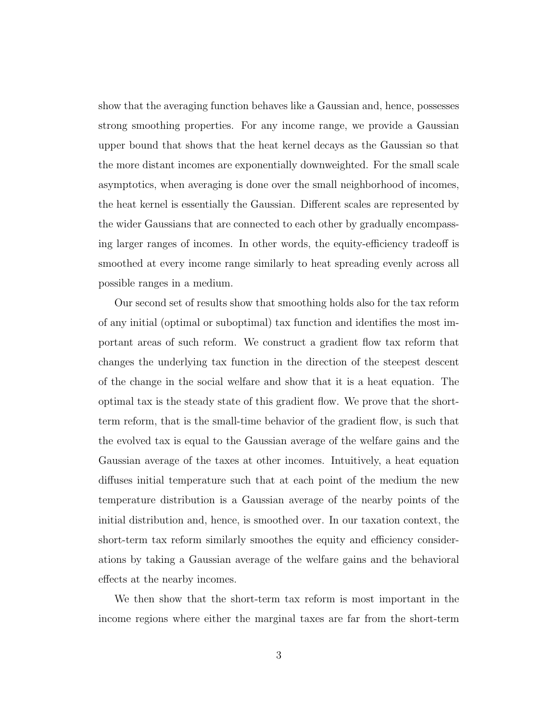show that the averaging function behaves like a Gaussian and, hence, possesses strong smoothing properties. For any income range, we provide a Gaussian upper bound that shows that the heat kernel decays as the Gaussian so that the more distant incomes are exponentially downweighted. For the small scale asymptotics, when averaging is done over the small neighborhood of incomes, the heat kernel is essentially the Gaussian. Different scales are represented by the wider Gaussians that are connected to each other by gradually encompassing larger ranges of incomes. In other words, the equity-efficiency tradeoff is smoothed at every income range similarly to heat spreading evenly across all possible ranges in a medium.

Our second set of results show that smoothing holds also for the tax reform of any initial (optimal or suboptimal) tax function and identifies the most important areas of such reform. We construct a gradient flow tax reform that changes the underlying tax function in the direction of the steepest descent of the change in the social welfare and show that it is a heat equation. The optimal tax is the steady state of this gradient flow. We prove that the shortterm reform, that is the small-time behavior of the gradient flow, is such that the evolved tax is equal to the Gaussian average of the welfare gains and the Gaussian average of the taxes at other incomes. Intuitively, a heat equation diffuses initial temperature such that at each point of the medium the new temperature distribution is a Gaussian average of the nearby points of the initial distribution and, hence, is smoothed over. In our taxation context, the short-term tax reform similarly smoothes the equity and efficiency considerations by taking a Gaussian average of the welfare gains and the behavioral effects at the nearby incomes.

We then show that the short-term tax reform is most important in the income regions where either the marginal taxes are far from the short-term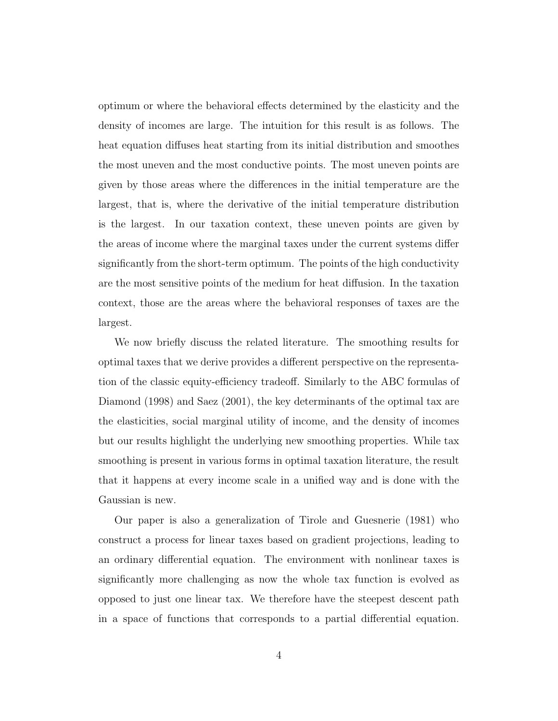optimum or where the behavioral effects determined by the elasticity and the density of incomes are large. The intuition for this result is as follows. The heat equation diffuses heat starting from its initial distribution and smoothes the most uneven and the most conductive points. The most uneven points are given by those areas where the differences in the initial temperature are the largest, that is, where the derivative of the initial temperature distribution is the largest. In our taxation context, these uneven points are given by the areas of income where the marginal taxes under the current systems differ significantly from the short-term optimum. The points of the high conductivity are the most sensitive points of the medium for heat diffusion. In the taxation context, those are the areas where the behavioral responses of taxes are the largest.

We now briefly discuss the related literature. The smoothing results for optimal taxes that we derive provides a different perspective on the representation of the classic equity-efficiency tradeoff. Similarly to the ABC formulas of Diamond (1998) and Saez (2001), the key determinants of the optimal tax are the elasticities, social marginal utility of income, and the density of incomes but our results highlight the underlying new smoothing properties. While tax smoothing is present in various forms in optimal taxation literature, the result that it happens at every income scale in a unified way and is done with the Gaussian is new.

Our paper is also a generalization of Tirole and Guesnerie (1981) who construct a process for linear taxes based on gradient projections, leading to an ordinary differential equation. The environment with nonlinear taxes is significantly more challenging as now the whole tax function is evolved as opposed to just one linear tax. We therefore have the steepest descent path in a space of functions that corresponds to a partial differential equation.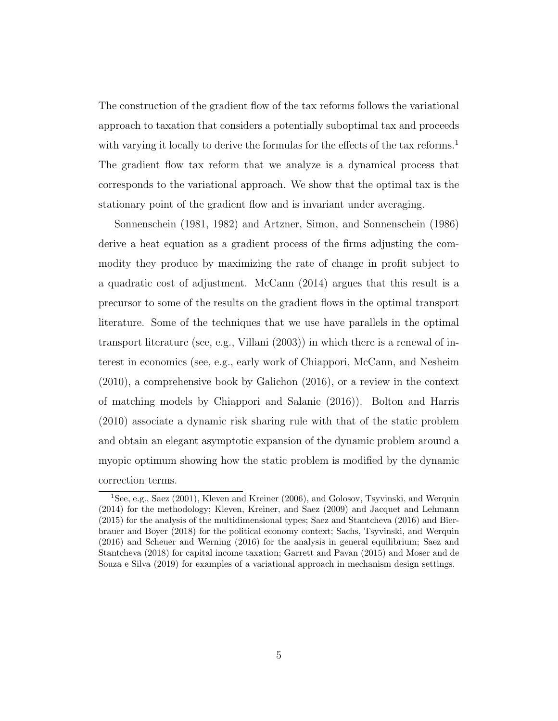The construction of the gradient flow of the tax reforms follows the variational approach to taxation that considers a potentially suboptimal tax and proceeds with varying it locally to derive the formulas for the effects of the tax reforms.<sup>1</sup> The gradient flow tax reform that we analyze is a dynamical process that corresponds to the variational approach. We show that the optimal tax is the stationary point of the gradient flow and is invariant under averaging.

Sonnenschein (1981, 1982) and Artzner, Simon, and Sonnenschein (1986) derive a heat equation as a gradient process of the firms adjusting the commodity they produce by maximizing the rate of change in profit subject to a quadratic cost of adjustment. McCann (2014) argues that this result is a precursor to some of the results on the gradient flows in the optimal transport literature. Some of the techniques that we use have parallels in the optimal transport literature (see, e.g., Villani (2003)) in which there is a renewal of interest in economics (see, e.g., early work of Chiappori, McCann, and Nesheim (2010), a comprehensive book by Galichon (2016), or a review in the context of matching models by Chiappori and Salanie (2016)). Bolton and Harris (2010) associate a dynamic risk sharing rule with that of the static problem and obtain an elegant asymptotic expansion of the dynamic problem around a myopic optimum showing how the static problem is modified by the dynamic correction terms.

<sup>1</sup>See, e.g., Saez (2001), Kleven and Kreiner (2006), and Golosov, Tsyvinski, and Werquin (2014) for the methodology; Kleven, Kreiner, and Saez (2009) and Jacquet and Lehmann (2015) for the analysis of the multidimensional types; Saez and Stantcheva (2016) and Bierbrauer and Boyer (2018) for the political economy context; Sachs, Tsyvinski, and Werquin (2016) and Scheuer and Werning (2016) for the analysis in general equilibrium; Saez and Stantcheva (2018) for capital income taxation; Garrett and Pavan (2015) and Moser and de Souza e Silva (2019) for examples of a variational approach in mechanism design settings.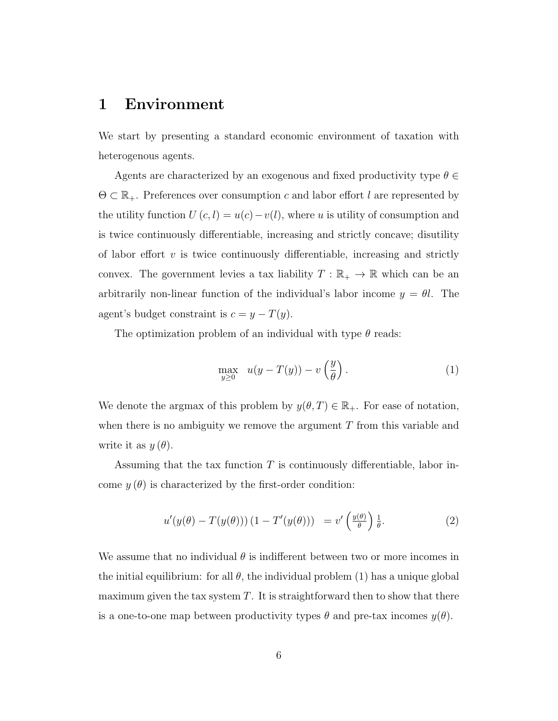## 1 Environment

We start by presenting a standard economic environment of taxation with heterogenous agents.

Agents are characterized by an exogenous and fixed productivity type  $\theta \in$  $\Theta \subset \mathbb{R}_+$ . Preferences over consumption c and labor effort l are represented by the utility function  $U(c, l) = u(c) - v(l)$ , where u is utility of consumption and is twice continuously differentiable, increasing and strictly concave; disutility of labor effort  $v$  is twice continuously differentiable, increasing and strictly convex. The government levies a tax liability  $T : \mathbb{R}_+ \to \mathbb{R}$  which can be an arbitrarily non-linear function of the individual's labor income  $y = \theta l$ . The agent's budget constraint is  $c = y - T(y)$ .

The optimization problem of an individual with type  $\theta$  reads:

$$
\max_{y \ge 0} \quad u(y - T(y)) - v\left(\frac{y}{\theta}\right). \tag{1}
$$

We denote the argmax of this problem by  $y(\theta, T) \in \mathbb{R}_+$ . For ease of notation, when there is no ambiguity we remove the argument  $T$  from this variable and write it as  $y(\theta)$ .

Assuming that the tax function  $T$  is continuously differentiable, labor income  $y(\theta)$  is characterized by the first-order condition:

$$
u'(y(\theta) - T(y(\theta))) (1 - T'(y(\theta))) = v'\left(\frac{y(\theta)}{\theta}\right) \frac{1}{\theta}.
$$
 (2)

We assume that no individual  $\theta$  is indifferent between two or more incomes in the initial equilibrium: for all  $\theta$ , the individual problem (1) has a unique global maximum given the tax system  $T$ . It is straightforward then to show that there is a one-to-one map between productivity types  $\theta$  and pre-tax incomes  $y(\theta)$ .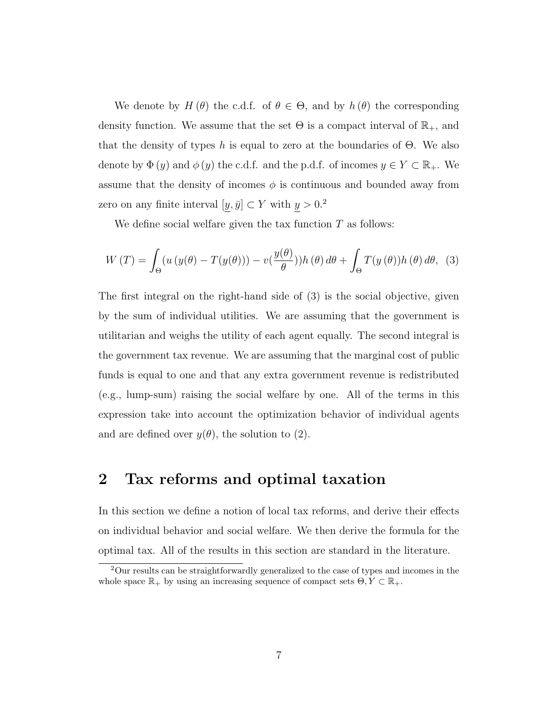We denote by  $H(\theta)$  the c.d.f. of  $\theta \in \Theta$ , and by  $h(\theta)$  the corresponding density function. We assume that the set  $\Theta$  is a compact interval of  $\mathbb{R}_+$ , and that the density of types h is equal to zero at the boundaries of  $\Theta$ . We also denote by  $\Phi(y)$  and  $\phi(y)$  the c.d.f. and the p.d.f. of incomes  $y \in Y \subset \mathbb{R}_+$ . We assume that the density of incomes  $\phi$  is continuous and bounded away from zero on any finite interval  $[y, \bar{y}] \subset Y$  with  $y > 0$ .<sup>2</sup>

We define social welfare given the tax function  $T$  as follows:

$$
W(T) = \int_{\Theta} (u (y(\theta) - T(y(\theta))) - v(\frac{y(\theta)}{\theta})) h(\theta) d\theta + \int_{\Theta} T(y(\theta)) h(\theta) d\theta, (3)
$$

The first integral on the right-hand side of (3) is the social objective, given by the sum of individual utilities. We are assuming that the government is utilitarian and weighs the utility of each agent equally. The second integral is the government tax revenue. We are assuming that the marginal cost of public funds is equal to one and that any extra government revenue is redistributed (e.g., lump-sum) raising the social welfare by one. All of the terms in this expression take into account the optimization behavior of individual agents and are defined over  $y(\theta)$ , the solution to (2).

## 2 Tax reforms and optimal taxation

In this section we define a notion of local tax reforms, and derive their effects on individual behavior and social welfare. We then derive the formula for the optimal tax. All of the results in this section are standard in the literature.

<sup>2</sup>Our results can be straightforwardly generalized to the case of types and incomes in the whole space  $\mathbb{R}_+$  by using an increasing sequence of compact sets  $\Theta, Y \subset \mathbb{R}_+$ .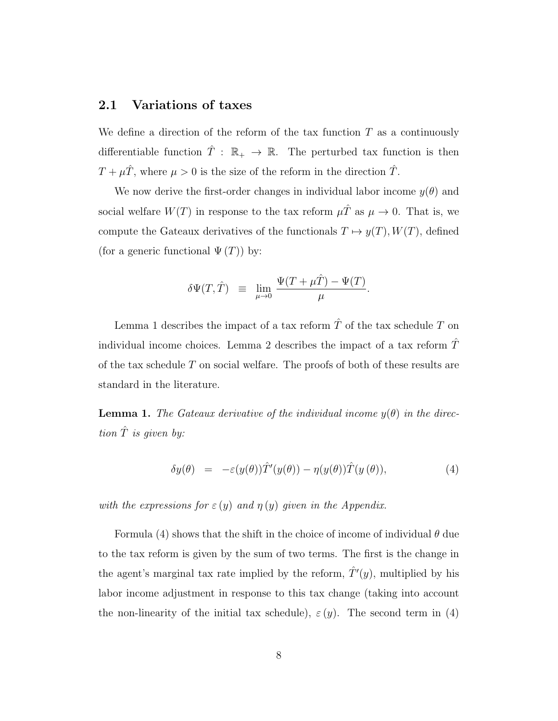#### 2.1 Variations of taxes

We define a direction of the reform of the tax function  $T$  as a continuously differentiable function  $\hat{T}: \mathbb{R}_+ \to \mathbb{R}$ . The perturbed tax function is then  $T + \mu \hat{T}$ , where  $\mu > 0$  is the size of the reform in the direction  $\hat{T}$ .

We now derive the first-order changes in individual labor income  $y(\theta)$  and social welfare  $W(T)$  in response to the tax reform  $\mu\hat{T}$  as  $\mu \to 0$ . That is, we compute the Gateaux derivatives of the functionals  $T \mapsto y(T), W(T)$ , defined (for a generic functional  $\Psi(T)$ ) by:

$$
\delta\Psi(T,\hat T) \equiv \lim_{\mu \to 0} \frac{\Psi(T+\mu\hat T) - \Psi(T)}{\mu}.
$$

Lemma 1 describes the impact of a tax reform  $\hat{T}$  of the tax schedule  $T$  on individual income choices. Lemma 2 describes the impact of a tax reform  $\hat{T}$ of the tax schedule  $T$  on social welfare. The proofs of both of these results are standard in the literature.

**Lemma 1.** The Gateaux derivative of the individual income  $y(\theta)$  in the direction  $\hat{T}$  is given by:

$$
\delta y(\theta) = -\varepsilon(y(\theta))\hat{T}'(y(\theta)) - \eta(y(\theta))\hat{T}(y(\theta)), \tag{4}
$$

with the expressions for  $\varepsilon(y)$  and  $\eta(y)$  given in the Appendix.

Formula (4) shows that the shift in the choice of income of individual  $\theta$  due to the tax reform is given by the sum of two terms. The first is the change in the agent's marginal tax rate implied by the reform,  $\hat{T}'(y)$ , multiplied by his labor income adjustment in response to this tax change (taking into account the non-linearity of the initial tax schedule),  $\varepsilon(y)$ . The second term in (4)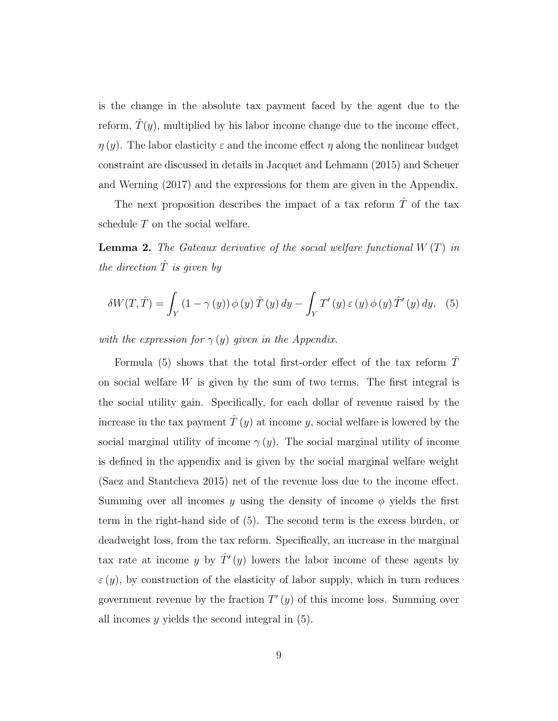is the change in the absolute tax payment faced by the agent due to the reform,  $\hat{T}(y)$ , multiplied by his labor income change due to the income effect,  $\eta(y)$ . The labor elasticity  $\varepsilon$  and the income effect  $\eta$  along the nonlinear budget constraint are discussed in details in Jacquet and Lehmann (2015) and Scheuer and Werning (2017) and the expressions for them are given in the Appendix.

The next proposition describes the impact of a tax reform  $\hat{T}$  of the tax schedule T on the social welfare.

**Lemma 2.** The Gateaux derivative of the social welfare functional  $W(T)$  in the direction  $\hat{T}$  is given by

$$
\delta W(T, \hat{T}) = \int_{Y} (1 - \gamma(y)) \phi(y) \hat{T}(y) dy - \int_{Y} T'(y) \varepsilon(y) \phi(y) \hat{T}'(y) dy, (5)
$$

with the expression for  $\gamma(y)$  given in the Appendix.

Formula (5) shows that the total first-order effect of the tax reform  $\hat{T}$ on social welfare  $W$  is given by the sum of two terms. The first integral is the social utility gain. Specifically, for each dollar of revenue raised by the increase in the tax payment  $\hat{T}(y)$  at income y, social welfare is lowered by the social marginal utility of income  $\gamma(y)$ . The social marginal utility of income is defined in the appendix and is given by the social marginal welfare weight (Saez and Stantcheva 2015) net of the revenue loss due to the income effect. Summing over all incomes y using the density of income  $\phi$  yields the first term in the right-hand side of (5). The second term is the excess burden, or deadweight loss, from the tax reform. Specifically, an increase in the marginal tax rate at income y by  $\hat{T}'(y)$  lowers the labor income of these agents by  $\varepsilon(y)$ , by construction of the elasticity of labor supply, which in turn reduces government revenue by the fraction  $T'(y)$  of this income loss. Summing over all incomes  $y$  yields the second integral in  $(5)$ .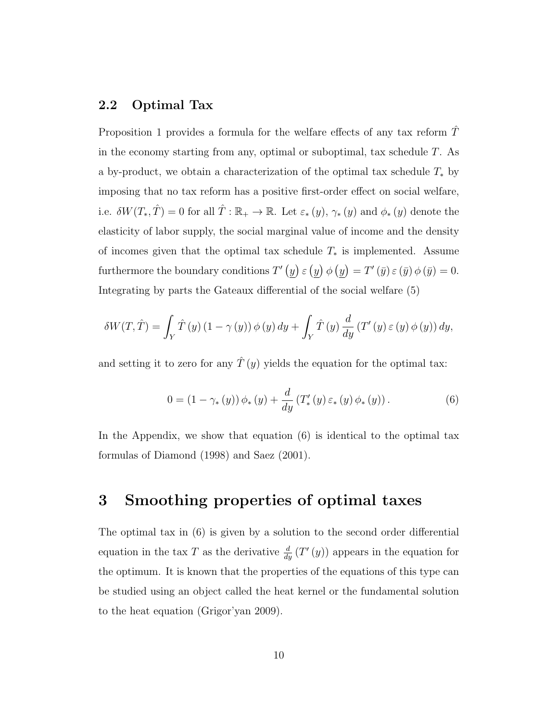#### 2.2 Optimal Tax

Proposition 1 provides a formula for the welfare effects of any tax reform  $\hat{T}$ in the economy starting from any, optimal or suboptimal, tax schedule  $T$ . As a by-product, we obtain a characterization of the optimal tax schedule  $T_*$  by imposing that no tax reform has a positive first-order effect on social welfare, i.e.  $\delta W(T_*, \hat{T}) = 0$  for all  $\hat{T} : \mathbb{R}_+ \to \mathbb{R}$ . Let  $\varepsilon_*(y)$ ,  $\gamma_*(y)$  and  $\phi_*(y)$  denote the elasticity of labor supply, the social marginal value of income and the density of incomes given that the optimal tax schedule  $T_*$  is implemented. Assume furthermore the boundary conditions  $T'(y) \varepsilon (y) \phi (y) = T'(\bar{y}) \varepsilon (\bar{y}) \phi (\bar{y}) = 0.$ Integrating by parts the Gateaux differential of the social welfare (5)

$$
\delta W(T, \hat{T}) = \int_Y \hat{T}(y) (1 - \gamma(y)) \phi(y) dy + \int_Y \hat{T}(y) \frac{d}{dy} (T'(y) \varepsilon(y) \phi(y)) dy,
$$

and setting it to zero for any  $\hat{T}(y)$  yields the equation for the optimal tax:

$$
0 = (1 - \gamma_*(y)) \phi_*(y) + \frac{d}{dy} (T'_*(y) \varepsilon_*(y) \phi_*(y)).
$$
 (6)

In the Appendix, we show that equation (6) is identical to the optimal tax formulas of Diamond (1998) and Saez (2001).

## 3 Smoothing properties of optimal taxes

The optimal tax in (6) is given by a solution to the second order differential equation in the tax T as the derivative  $\frac{d}{dy}(T'(y))$  appears in the equation for the optimum. It is known that the properties of the equations of this type can be studied using an object called the heat kernel or the fundamental solution to the heat equation (Grigor'yan 2009).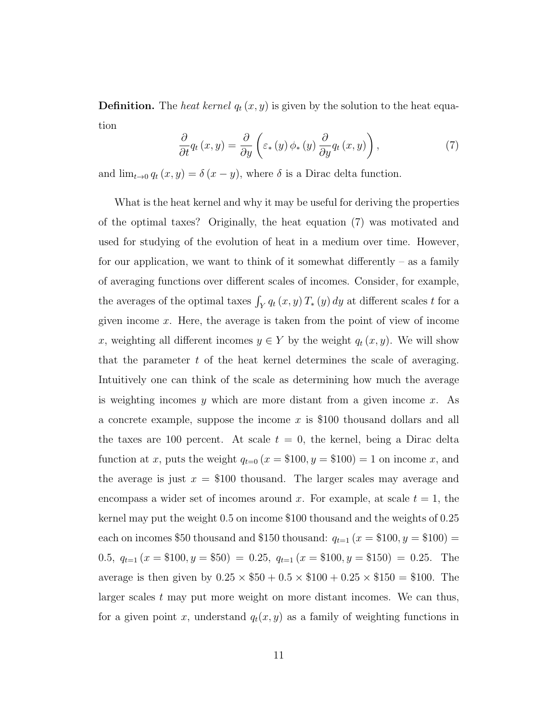**Definition.** The heat kernel  $q_t(x, y)$  is given by the solution to the heat equation

$$
\frac{\partial}{\partial t}q_t(x,y) = \frac{\partial}{\partial y}\left(\varepsilon_*(y)\,\phi_*(y)\,\frac{\partial}{\partial y}q_t(x,y)\right),\tag{7}
$$

and  $\lim_{t\to 0} q_t(x, y) = \delta(x - y)$ , where  $\delta$  is a Dirac delta function.

What is the heat kernel and why it may be useful for deriving the properties of the optimal taxes? Originally, the heat equation (7) was motivated and used for studying of the evolution of heat in a medium over time. However, for our application, we want to think of it somewhat differently – as a family of averaging functions over different scales of incomes. Consider, for example, the averages of the optimal taxes  $\int_Y q_t(x, y) T_*(y) dy$  at different scales t for a given income x. Here, the average is taken from the point of view of income x, weighting all different incomes  $y \in Y$  by the weight  $q_t(x, y)$ . We will show that the parameter  $t$  of the heat kernel determines the scale of averaging. Intuitively one can think of the scale as determining how much the average is weighting incomes y which are more distant from a given income  $x$ . As a concrete example, suppose the income  $x$  is \$100 thousand dollars and all the taxes are 100 percent. At scale  $t = 0$ , the kernel, being a Dirac delta function at x, puts the weight  $q_{t=0}$   $(x = $100, y = $100) = 1$  on income x, and the average is just  $x = $100$  thousand. The larger scales may average and encompass a wider set of incomes around x. For example, at scale  $t = 1$ , the kernel may put the weight 0.5 on income \$100 thousand and the weights of 0.25 each on incomes \$50 thousand and \$150 thousand:  $q_{t=1} (x = $100, y = $100)$  = 0.5,  $q_{t=1} (x = $100, y = $50) = 0.25, q_{t=1} (x = $100, y = $150) = 0.25.$  The average is then given by  $0.25 \times $50 + 0.5 \times $100 + 0.25 \times $150 = $100$ . The larger scales t may put more weight on more distant incomes. We can thus, for a given point x, understand  $q_t(x, y)$  as a family of weighting functions in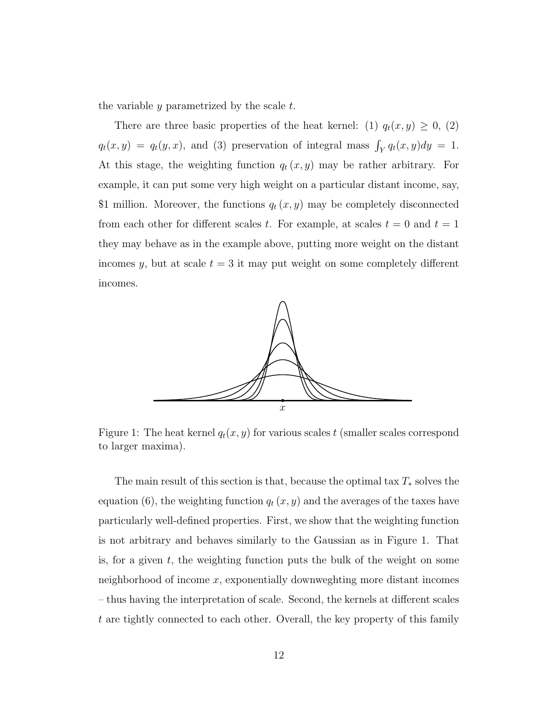the variable  $y$  parametrized by the scale  $t$ .

There are three basic properties of the heat kernel: (1)  $q_t(x, y) \geq 0$ , (2)  $q_t(x, y) = q_t(y, x)$ , and (3) preservation of integral mass  $\int_Y q_t(x, y) dy = 1$ . At this stage, the weighting function  $q_t(x, y)$  may be rather arbitrary. For example, it can put some very high weight on a particular distant income, say, \$1 million. Moreover, the functions  $q_t(x, y)$  may be completely disconnected from each other for different scales t. For example, at scales  $t = 0$  and  $t = 1$ they may behave as in the example above, putting more weight on the distant incomes y, but at scale  $t = 3$  it may put weight on some completely different incomes.



Figure 1: The heat kernel  $q_t(x, y)$  for various scales t (smaller scales correspond to larger maxima).

The main result of this section is that, because the optimal tax  $T_*$  solves the equation (6), the weighting function  $q_t(x, y)$  and the averages of the taxes have particularly well-defined properties. First, we show that the weighting function is not arbitrary and behaves similarly to the Gaussian as in Figure 1. That is, for a given  $t$ , the weighting function puts the bulk of the weight on some neighborhood of income  $x$ , exponentially downweghting more distant incomes – thus having the interpretation of scale. Second, the kernels at different scales t are tightly connected to each other. Overall, the key property of this family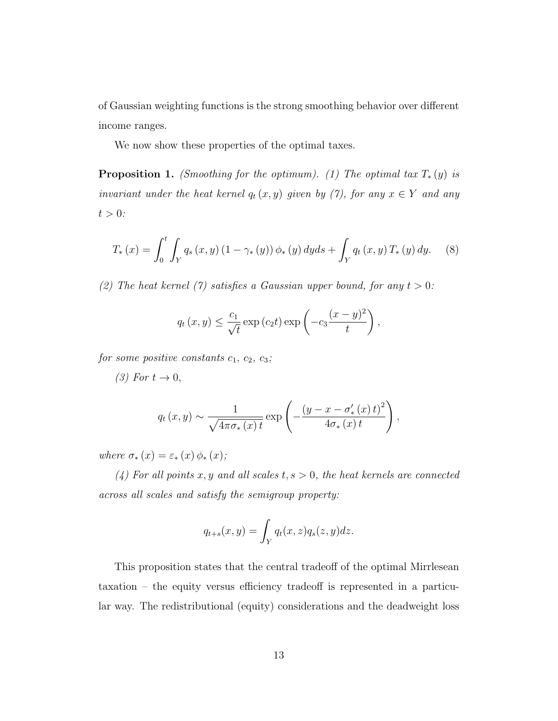of Gaussian weighting functions is the strong smoothing behavior over different income ranges.

We now show these properties of the optimal taxes.

**Proposition 1.** (Smoothing for the optimum). (1) The optimal tax  $T_*(y)$  is invariant under the heat kernel  $q_t(x, y)$  given by (7), for any  $x \in Y$  and any  $t > 0$ :

$$
T_{*}(x) = \int_{0}^{t} \int_{Y} q_{s}(x, y) (1 - \gamma_{*}(y)) \phi_{*}(y) dy ds + \int_{Y} q_{t}(x, y) T_{*}(y) dy.
$$
 (8)

(2) The heat kernel (7) satisfies a Gaussian upper bound, for any  $t > 0$ :

$$
q_t(x,y) \le \frac{c_1}{\sqrt{t}} \exp\left(c_2 t\right) \exp\left(-c_3 \frac{(x-y)^2}{t}\right),\,
$$

for some positive constants  $c_1$ ,  $c_2$ ,  $c_3$ ;

(3) For  $t \to 0$ ,

$$
q_t(x,y) \sim \frac{1}{\sqrt{4\pi\sigma_*(x)t}} \exp\left(-\frac{\left(y-x-\sigma'_*(x)\,t\right)^2}{4\sigma_*(x)\,t}\right),\,
$$

where  $\sigma_*(x) = \varepsilon_*(x) \phi_*(x);$ 

(4) For all points x, y and all scales  $t, s > 0$ , the heat kernels are connected across all scales and satisfy the semigroup property:

$$
q_{t+s}(x,y) = \int_Y q_t(x,z)q_s(z,y)dz.
$$

This proposition states that the central tradeoff of the optimal Mirrlesean taxation – the equity versus efficiency tradeoff is represented in a particular way. The redistributional (equity) considerations and the deadweight loss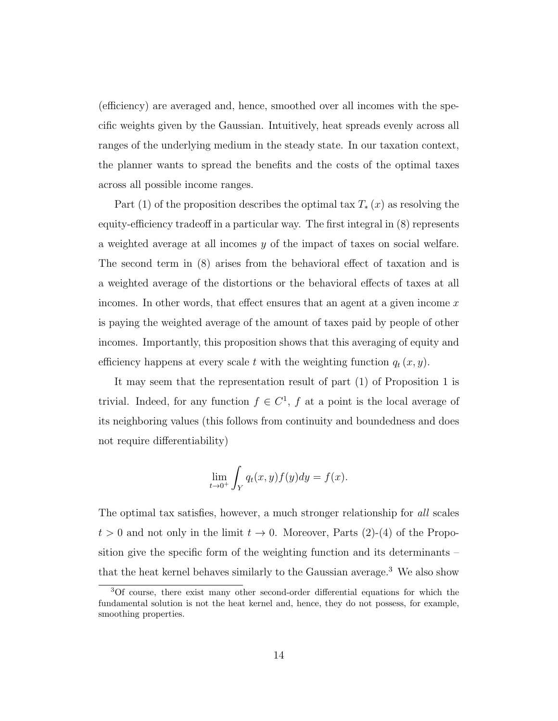(efficiency) are averaged and, hence, smoothed over all incomes with the specific weights given by the Gaussian. Intuitively, heat spreads evenly across all ranges of the underlying medium in the steady state. In our taxation context, the planner wants to spread the benefits and the costs of the optimal taxes across all possible income ranges.

Part (1) of the proposition describes the optimal tax  $T_*(x)$  as resolving the equity-efficiency tradeoff in a particular way. The first integral in (8) represents a weighted average at all incomes y of the impact of taxes on social welfare. The second term in (8) arises from the behavioral effect of taxation and is a weighted average of the distortions or the behavioral effects of taxes at all incomes. In other words, that effect ensures that an agent at a given income  $x$ is paying the weighted average of the amount of taxes paid by people of other incomes. Importantly, this proposition shows that this averaging of equity and efficiency happens at every scale t with the weighting function  $q_t(x, y)$ .

It may seem that the representation result of part (1) of Proposition 1 is trivial. Indeed, for any function  $f \in C^1$ , f at a point is the local average of its neighboring values (this follows from continuity and boundedness and does not require differentiability)

$$
\lim_{t \to 0^+} \int_Y q_t(x, y) f(y) dy = f(x).
$$

The optimal tax satisfies, however, a much stronger relationship for all scales  $t > 0$  and not only in the limit  $t \to 0$ . Moreover, Parts (2)-(4) of the Proposition give the specific form of the weighting function and its determinants – that the heat kernel behaves similarly to the Gaussian average.<sup>3</sup> We also show

<sup>3</sup>Of course, there exist many other second-order differential equations for which the fundamental solution is not the heat kernel and, hence, they do not possess, for example, smoothing properties.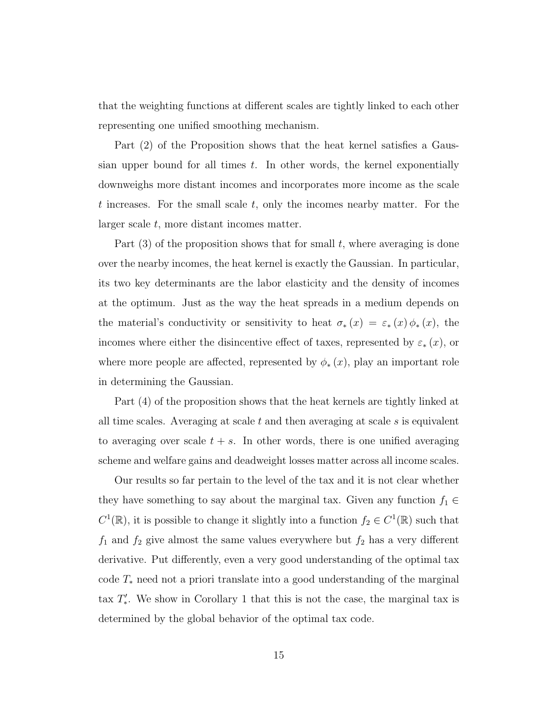that the weighting functions at different scales are tightly linked to each other representing one unified smoothing mechanism.

Part (2) of the Proposition shows that the heat kernel satisfies a Gaussian upper bound for all times  $t$ . In other words, the kernel exponentially downweighs more distant incomes and incorporates more income as the scale  $t$  increases. For the small scale  $t$ , only the incomes nearby matter. For the larger scale t, more distant incomes matter.

Part  $(3)$  of the proposition shows that for small t, where averaging is done over the nearby incomes, the heat kernel is exactly the Gaussian. In particular, its two key determinants are the labor elasticity and the density of incomes at the optimum. Just as the way the heat spreads in a medium depends on the material's conductivity or sensitivity to heat  $\sigma_*(x) = \varepsilon_*(x) \phi_*(x)$ , the incomes where either the disincentive effect of taxes, represented by  $\varepsilon_*(x)$ , or where more people are affected, represented by  $\phi_*(x)$ , play an important role in determining the Gaussian.

Part (4) of the proposition shows that the heat kernels are tightly linked at all time scales. Averaging at scale  $t$  and then averaging at scale  $s$  is equivalent to averaging over scale  $t + s$ . In other words, there is one unified averaging scheme and welfare gains and deadweight losses matter across all income scales.

Our results so far pertain to the level of the tax and it is not clear whether they have something to say about the marginal tax. Given any function  $f_1 \in$  $C^1(\mathbb{R})$ , it is possible to change it slightly into a function  $f_2 \in C^1(\mathbb{R})$  such that  $f_1$  and  $f_2$  give almost the same values everywhere but  $f_2$  has a very different derivative. Put differently, even a very good understanding of the optimal tax code T<sup>∗</sup> need not a priori translate into a good understanding of the marginal tax  $T'_{*}$ . We show in Corollary 1 that this is not the case, the marginal tax is determined by the global behavior of the optimal tax code.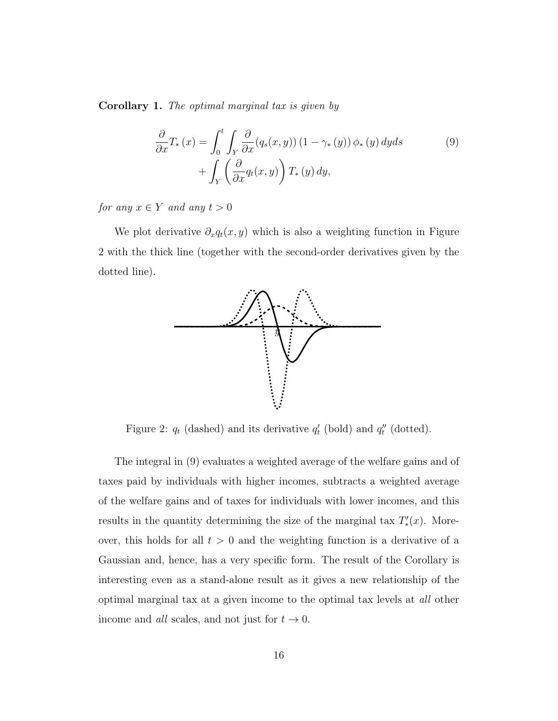Corollary 1. The optimal marginal tax is given by

$$
\frac{\partial}{\partial x}T_{*}(x) = \int_{0}^{t} \int_{Y} \frac{\partial}{\partial x}(q_{s}(x, y)) (1 - \gamma_{*}(y)) \phi_{*}(y) dyds
$$
\n
$$
+ \int_{Y} \left(\frac{\partial}{\partial x}q_{t}(x, y)\right) T_{*}(y) dy,
$$
\n(9)

for any  $x \in Y$  and any  $t > 0$ 

We plot derivative  $\partial_x q_t(x, y)$  which is also a weighting function in Figure 2 with the thick line (together with the second-order derivatives given by the dotted line).



Figure 2:  $q_t$  (dashed) and its derivative  $q'_t$  (bold) and  $q''_t$  (dotted).

The integral in (9) evaluates a weighted average of the welfare gains and of taxes paid by individuals with higher incomes, subtracts a weighted average of the welfare gains and of taxes for individuals with lower incomes, and this results in the quantity determining the size of the marginal tax  $T'_{*}(x)$ . Moreover, this holds for all  $t > 0$  and the weighting function is a derivative of a Gaussian and, hence, has a very specific form. The result of the Corollary is interesting even as a stand-alone result as it gives a new relationship of the optimal marginal tax at a given income to the optimal tax levels at all other income and *all* scales, and not just for  $t \to 0$ .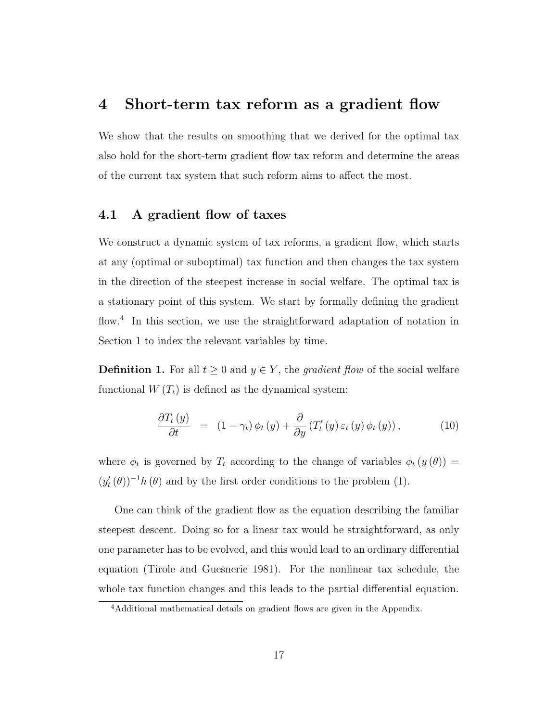## 4 Short-term tax reform as a gradient flow

We show that the results on smoothing that we derived for the optimal tax also hold for the short-term gradient flow tax reform and determine the areas of the current tax system that such reform aims to affect the most.

#### 4.1 A gradient flow of taxes

We construct a dynamic system of tax reforms, a gradient flow, which starts at any (optimal or suboptimal) tax function and then changes the tax system in the direction of the steepest increase in social welfare. The optimal tax is a stationary point of this system. We start by formally defining the gradient flow.<sup>4</sup> In this section, we use the straightforward adaptation of notation in Section 1 to index the relevant variables by time.

**Definition 1.** For all  $t \geq 0$  and  $y \in Y$ , the *gradient flow* of the social welfare functional  $W(T_t)$  is defined as the dynamical system:

$$
\frac{\partial T_t(y)}{\partial t} = (1 - \gamma_t) \phi_t(y) + \frac{\partial}{\partial y} (T'_t(y) \varepsilon_t(y) \phi_t(y)), \qquad (10)
$$

where  $\phi_t$  is governed by  $T_t$  according to the change of variables  $\phi_t(y(\theta)) =$  $(y_t'(\theta))^{-1}h(\theta)$  and by the first order conditions to the problem (1).

One can think of the gradient flow as the equation describing the familiar steepest descent. Doing so for a linear tax would be straightforward, as only one parameter has to be evolved, and this would lead to an ordinary differential equation (Tirole and Guesnerie 1981). For the nonlinear tax schedule, the whole tax function changes and this leads to the partial differential equation.

<sup>4</sup>Additional mathematical details on gradient flows are given in the Appendix.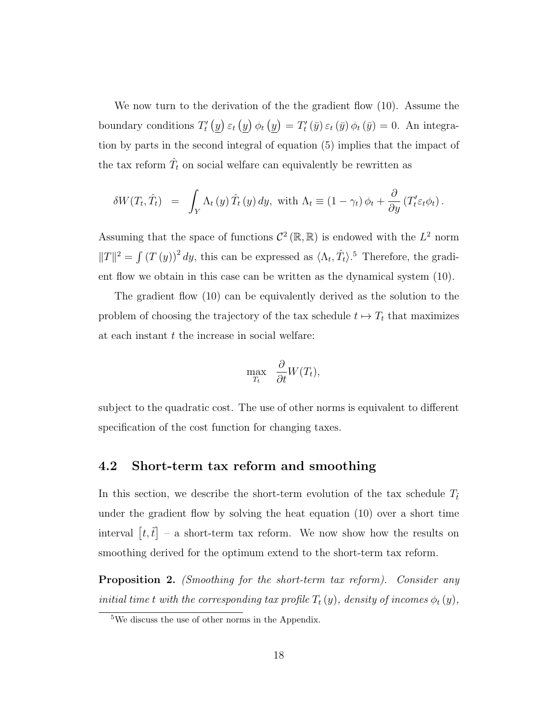We now turn to the derivation of the the gradient flow (10). Assume the boundary conditions  $T'_{t}(\underline{y})\varepsilon_{t}(\underline{y})\phi_{t}(\underline{y})=T'_{t}(\bar{y})\varepsilon_{t}(\bar{y})\phi_{t}(\bar{y})=0$ . An integration by parts in the second integral of equation (5) implies that the impact of the tax reform  $\hat{T}_t$  on social welfare can equivalently be rewritten as

$$
\delta W(T_t, \hat{T}_t) = \int_Y \Lambda_t(y) \hat{T}_t(y) dy, \text{ with } \Lambda_t \equiv (1 - \gamma_t) \phi_t + \frac{\partial}{\partial y} (T'_t \varepsilon_t \phi_t).
$$

Assuming that the space of functions  $\mathcal{C}^2(\mathbb{R},\mathbb{R})$  is endowed with the  $L^2$  norm  $||T||^2 = \int (T(y))^2 dy$ , this can be expressed as  $\langle \Lambda_t, \hat{T}_t \rangle$ .<sup>5</sup> Therefore, the gradient flow we obtain in this case can be written as the dynamical system (10).

The gradient flow (10) can be equivalently derived as the solution to the problem of choosing the trajectory of the tax schedule  $t \mapsto T_t$  that maximizes at each instant  $t$  the increase in social welfare:

$$
\max_{T_t} \quad \frac{\partial}{\partial t} W(T_t),
$$

subject to the quadratic cost. The use of other norms is equivalent to different specification of the cost function for changing taxes.

#### 4.2 Short-term tax reform and smoothing

In this section, we describe the short-term evolution of the tax schedule  $T_{\tilde{t}}$ under the gradient flow by solving the heat equation (10) over a short time interval  $[t, \tilde{t}]$  – a short-term tax reform. We now show how the results on smoothing derived for the optimum extend to the short-term tax reform.

**Proposition 2.** (Smoothing for the short-term tax reform). Consider any initial time t with the corresponding tax profile  $T_t(y)$ , density of incomes  $\phi_t(y)$ ,

<sup>5</sup>We discuss the use of other norms in the Appendix.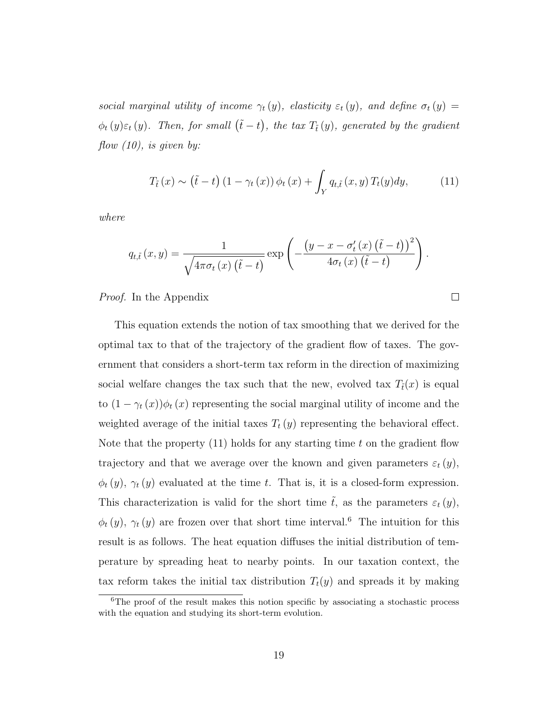social marginal utility of income  $\gamma_t(y)$ , elasticity  $\varepsilon_t(y)$ , and define  $\sigma_t(y)$  $\phi_t(y)\varepsilon_t(y)$ . Then, for small  $(\tilde{t}-t)$ , the tax  $T_{\tilde{t}}(y)$ , generated by the gradient flow  $(10)$ , is given by:

$$
T_{\tilde{t}}(x) \sim (\tilde{t} - t) (1 - \gamma_t(x)) \phi_t(x) + \int_Y q_{t,\tilde{t}}(x, y) T_t(y) dy, \qquad (11)
$$

 $\Box$ 

where

$$
q_{t,\tilde{t}}(x,y) = \frac{1}{\sqrt{4\pi\sigma_t(x)(\tilde{t}-t)}} \exp\left(-\frac{\left(y-x-\sigma'_t(x)\left(\tilde{t}-t\right)\right)^2}{4\sigma_t(x)\left(\tilde{t}-t\right)}\right).
$$

Proof. In the Appendix

This equation extends the notion of tax smoothing that we derived for the optimal tax to that of the trajectory of the gradient flow of taxes. The government that considers a short-term tax reform in the direction of maximizing social welfare changes the tax such that the new, evolved tax  $T_{\tilde{t}}(x)$  is equal to  $(1 - \gamma_t(x))\phi_t(x)$  representing the social marginal utility of income and the weighted average of the initial taxes  $T_t(y)$  representing the behavioral effect. Note that the property  $(11)$  holds for any starting time t on the gradient flow trajectory and that we average over the known and given parameters  $\varepsilon_t(y)$ ,  $\phi_t(y)$ ,  $\gamma_t(y)$  evaluated at the time t. That is, it is a closed-form expression. This characterization is valid for the short time  $\tilde{t}$ , as the parameters  $\varepsilon_t(y)$ ,  $\phi_t(y)$ ,  $\gamma_t(y)$  are frozen over that short time interval.<sup>6</sup> The intuition for this result is as follows. The heat equation diffuses the initial distribution of temperature by spreading heat to nearby points. In our taxation context, the tax reform takes the initial tax distribution  $T_t(y)$  and spreads it by making

<sup>&</sup>lt;sup>6</sup>The proof of the result makes this notion specific by associating a stochastic process with the equation and studying its short-term evolution.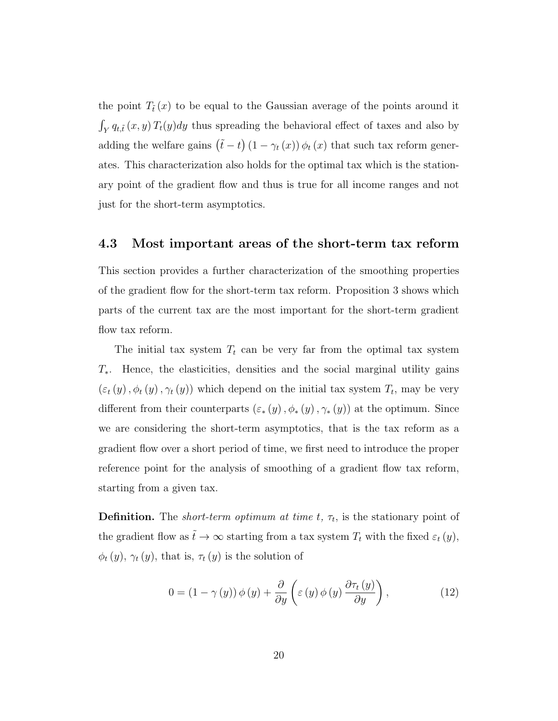the point  $T_{\tilde{t}}(x)$  to be equal to the Gaussian average of the points around it  $\int_Y q_{t,\tilde{t}}(x, y) T_t(y) dy$  thus spreading the behavioral effect of taxes and also by adding the welfare gains  $(\tilde{t} - t) (1 - \gamma_t(x)) \phi_t(x)$  that such tax reform generates. This characterization also holds for the optimal tax which is the stationary point of the gradient flow and thus is true for all income ranges and not just for the short-term asymptotics.

#### 4.3 Most important areas of the short-term tax reform

This section provides a further characterization of the smoothing properties of the gradient flow for the short-term tax reform. Proposition 3 shows which parts of the current tax are the most important for the short-term gradient flow tax reform.

The initial tax system  $T_t$  can be very far from the optimal tax system  $T_{*}$ . Hence, the elasticities, densities and the social marginal utility gains  $(\varepsilon_t(y), \phi_t(y), \gamma_t(y))$  which depend on the initial tax system  $T_t$ , may be very different from their counterparts  $(\varepsilon_*(y), \phi_*(y), \gamma_*(y))$  at the optimum. Since we are considering the short-term asymptotics, that is the tax reform as a gradient flow over a short period of time, we first need to introduce the proper reference point for the analysis of smoothing of a gradient flow tax reform, starting from a given tax.

**Definition.** The *short-term optimum at time t,*  $\tau_t$ , is the stationary point of the gradient flow as  $\tilde{t} \to \infty$  starting from a tax system  $T_t$  with the fixed  $\varepsilon_t(y)$ ,  $\phi_t(y)$ ,  $\gamma_t(y)$ , that is,  $\tau_t(y)$  is the solution of

$$
0 = (1 - \gamma(y)) \phi(y) + \frac{\partial}{\partial y} \left( \varepsilon(y) \phi(y) \frac{\partial \tau_t(y)}{\partial y} \right), \tag{12}
$$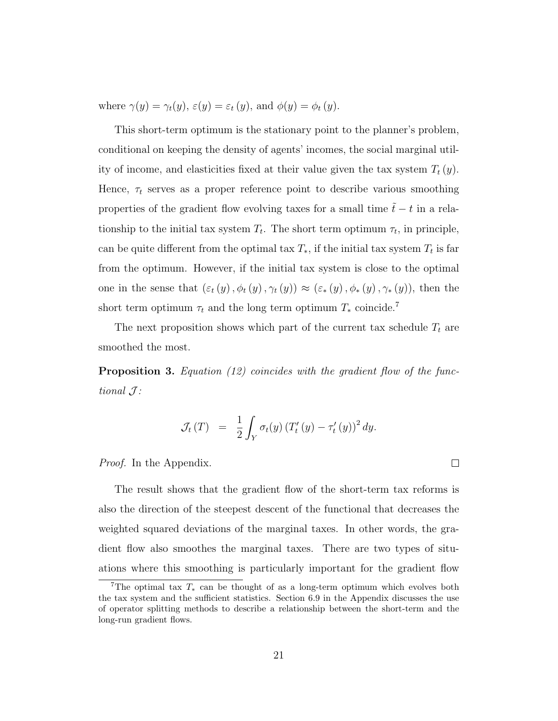where  $\gamma(y) = \gamma_t(y)$ ,  $\varepsilon(y) = \varepsilon_t(y)$ , and  $\phi(y) = \phi_t(y)$ .

This short-term optimum is the stationary point to the planner's problem, conditional on keeping the density of agents' incomes, the social marginal utility of income, and elasticities fixed at their value given the tax system  $T_t(y)$ . Hence,  $\tau_t$  serves as a proper reference point to describe various smoothing properties of the gradient flow evolving taxes for a small time  $\tilde{t} - t$  in a relationship to the initial tax system  $T_t$ . The short term optimum  $\tau_t$ , in principle, can be quite different from the optimal tax  $T_*$ , if the initial tax system  $T_t$  is far from the optimum. However, if the initial tax system is close to the optimal one in the sense that  $(\varepsilon_t(y), \phi_t(y), \gamma_t(y)) \approx (\varepsilon_*(y), \phi_*(y), \gamma_*(y))$ , then the short term optimum  $\tau_t$  and the long term optimum  $T_*$  coincide.<sup>7</sup>

The next proposition shows which part of the current tax schedule  $T_t$  are smoothed the most.

**Proposition 3.** Equation (12) coincides with the gradient flow of the functional  $\mathcal{J}$ :

$$
\mathcal{J}_t(T) = \frac{1}{2} \int_Y \sigma_t(y) \left(T'_t(y) - \tau'_t(y)\right)^2 dy.
$$

*Proof.* In the Appendix.

The result shows that the gradient flow of the short-term tax reforms is also the direction of the steepest descent of the functional that decreases the weighted squared deviations of the marginal taxes. In other words, the gradient flow also smoothes the marginal taxes. There are two types of situations where this smoothing is particularly important for the gradient flow

 $\Box$ 

<sup>&</sup>lt;sup>7</sup>The optimal tax  $T_*$  can be thought of as a long-term optimum which evolves both the tax system and the sufficient statistics. Section 6.9 in the Appendix discusses the use of operator splitting methods to describe a relationship between the short-term and the long-run gradient flows.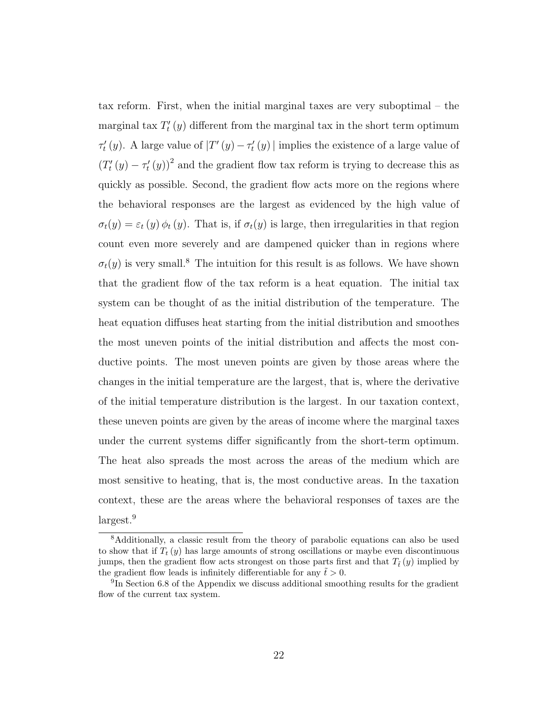tax reform. First, when the initial marginal taxes are very suboptimal – the marginal tax  $T'_{t}(y)$  different from the marginal tax in the short term optimum  $\tau'_t(y)$ . A large value of  $|T'(y) - T'_t(y)|$  implies the existence of a large value of  $(T'_t(y) - \tau'_t(y))^2$  and the gradient flow tax reform is trying to decrease this as quickly as possible. Second, the gradient flow acts more on the regions where the behavioral responses are the largest as evidenced by the high value of  $\sigma_t(y) = \varepsilon_t(y) \phi_t(y)$ . That is, if  $\sigma_t(y)$  is large, then irregularities in that region count even more severely and are dampened quicker than in regions where  $\sigma_t(y)$  is very small.<sup>8</sup> The intuition for this result is as follows. We have shown that the gradient flow of the tax reform is a heat equation. The initial tax system can be thought of as the initial distribution of the temperature. The heat equation diffuses heat starting from the initial distribution and smoothes the most uneven points of the initial distribution and affects the most conductive points. The most uneven points are given by those areas where the changes in the initial temperature are the largest, that is, where the derivative of the initial temperature distribution is the largest. In our taxation context, these uneven points are given by the areas of income where the marginal taxes under the current systems differ significantly from the short-term optimum. The heat also spreads the most across the areas of the medium which are most sensitive to heating, that is, the most conductive areas. In the taxation context, these are the areas where the behavioral responses of taxes are the largest.<sup>9</sup>

<sup>8</sup>Additionally, a classic result from the theory of parabolic equations can also be used to show that if  $T_t(y)$  has large amounts of strong oscillations or maybe even discontinuous jumps, then the gradient flow acts strongest on those parts first and that  $T_i(y)$  implied by the gradient flow leads is infinitely differentiable for any  $\tilde{t} > 0$ .

<sup>&</sup>lt;sup>9</sup>In Section 6.8 of the Appendix we discuss additional smoothing results for the gradient flow of the current tax system.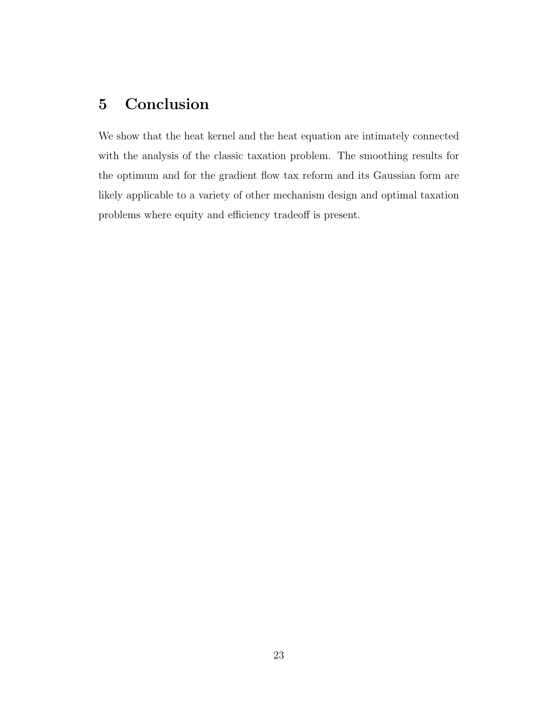# 5 Conclusion

We show that the heat kernel and the heat equation are intimately connected with the analysis of the classic taxation problem. The smoothing results for the optimum and for the gradient flow tax reform and its Gaussian form are likely applicable to a variety of other mechanism design and optimal taxation problems where equity and efficiency tradeoff is present.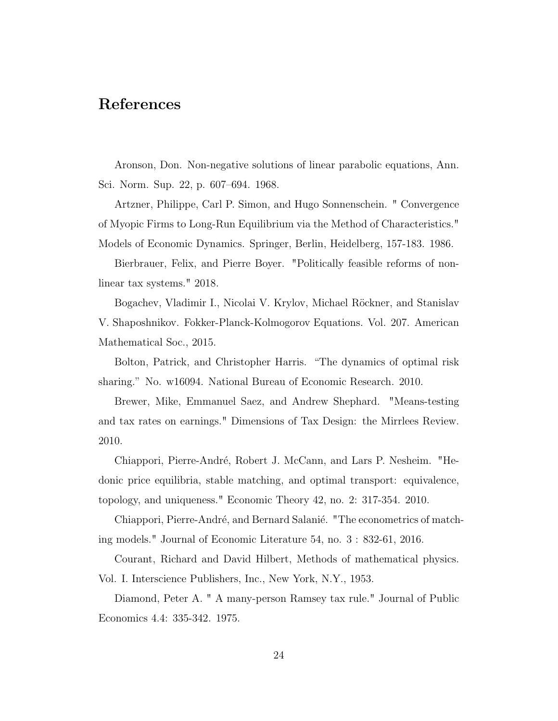## References

Aronson, Don. Non-negative solutions of linear parabolic equations, Ann. Sci. Norm. Sup. 22, p. 607–694. 1968.

Artzner, Philippe, Carl P. Simon, and Hugo Sonnenschein. " Convergence of Myopic Firms to Long-Run Equilibrium via the Method of Characteristics." Models of Economic Dynamics. Springer, Berlin, Heidelberg, 157-183. 1986.

Bierbrauer, Felix, and Pierre Boyer. "Politically feasible reforms of nonlinear tax systems." 2018.

Bogachev, Vladimir I., Nicolai V. Krylov, Michael Röckner, and Stanislav V. Shaposhnikov. Fokker-Planck-Kolmogorov Equations. Vol. 207. American Mathematical Soc., 2015.

Bolton, Patrick, and Christopher Harris. "The dynamics of optimal risk sharing." No. w16094. National Bureau of Economic Research. 2010.

Brewer, Mike, Emmanuel Saez, and Andrew Shephard. "Means-testing and tax rates on earnings." Dimensions of Tax Design: the Mirrlees Review. 2010.

Chiappori, Pierre-Andr´e, Robert J. McCann, and Lars P. Nesheim. "Hedonic price equilibria, stable matching, and optimal transport: equivalence, topology, and uniqueness." Economic Theory 42, no. 2: 317-354. 2010.

Chiappori, Pierre-André, and Bernard Salanié. "The econometrics of matching models." Journal of Economic Literature 54, no. 3 : 832-61, 2016.

Courant, Richard and David Hilbert, Methods of mathematical physics. Vol. I. Interscience Publishers, Inc., New York, N.Y., 1953.

Diamond, Peter A. " A many-person Ramsey tax rule." Journal of Public Economics 4.4: 335-342. 1975.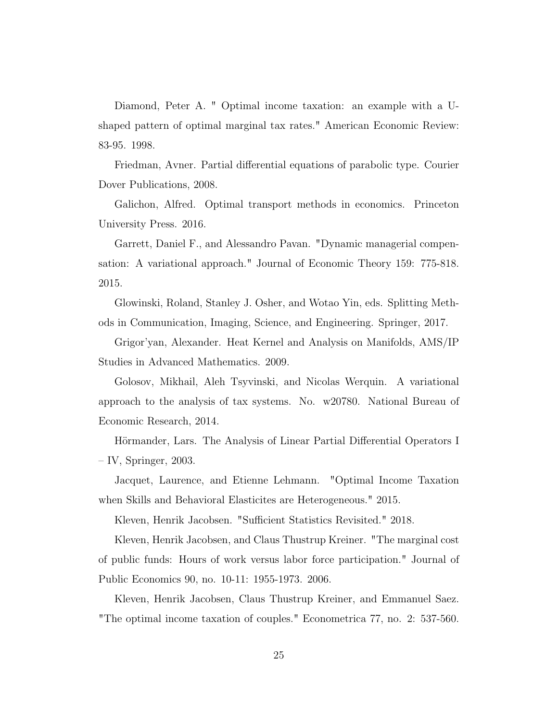Diamond, Peter A. " Optimal income taxation: an example with a Ushaped pattern of optimal marginal tax rates." American Economic Review: 83-95. 1998.

Friedman, Avner. Partial differential equations of parabolic type. Courier Dover Publications, 2008.

Galichon, Alfred. Optimal transport methods in economics. Princeton University Press. 2016.

Garrett, Daniel F., and Alessandro Pavan. "Dynamic managerial compensation: A variational approach." Journal of Economic Theory 159: 775-818. 2015.

Glowinski, Roland, Stanley J. Osher, and Wotao Yin, eds. Splitting Methods in Communication, Imaging, Science, and Engineering. Springer, 2017.

Grigor'yan, Alexander. Heat Kernel and Analysis on Manifolds, AMS/IP Studies in Advanced Mathematics. 2009.

Golosov, Mikhail, Aleh Tsyvinski, and Nicolas Werquin. A variational approach to the analysis of tax systems. No. w20780. National Bureau of Economic Research, 2014.

Hörmander, Lars. The Analysis of Linear Partial Differential Operators I – IV, Springer, 2003.

Jacquet, Laurence, and Etienne Lehmann. "Optimal Income Taxation when Skills and Behavioral Elasticites are Heterogeneous." 2015.

Kleven, Henrik Jacobsen. "Sufficient Statistics Revisited." 2018.

Kleven, Henrik Jacobsen, and Claus Thustrup Kreiner. "The marginal cost of public funds: Hours of work versus labor force participation." Journal of Public Economics 90, no. 10-11: 1955-1973. 2006.

Kleven, Henrik Jacobsen, Claus Thustrup Kreiner, and Emmanuel Saez. "The optimal income taxation of couples." Econometrica 77, no. 2: 537-560.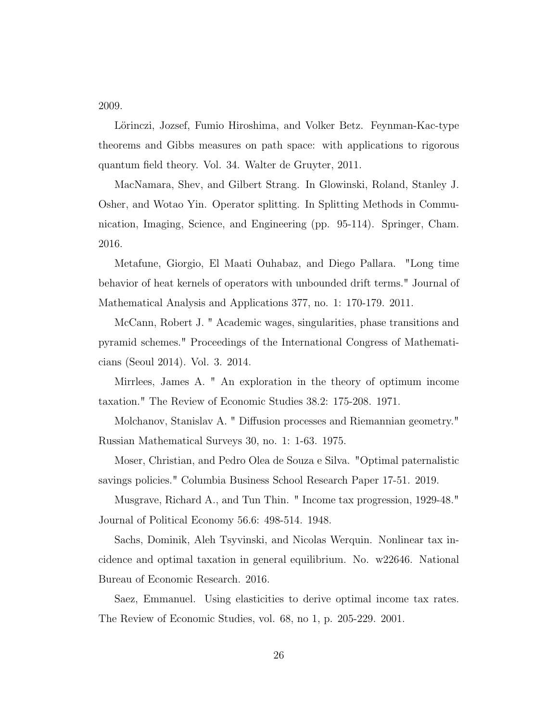2009.

Lörinczi, Jozsef, Fumio Hiroshima, and Volker Betz. Feynman-Kac-type theorems and Gibbs measures on path space: with applications to rigorous quantum field theory. Vol. 34. Walter de Gruyter, 2011.

MacNamara, Shev, and Gilbert Strang. In Glowinski, Roland, Stanley J. Osher, and Wotao Yin. Operator splitting. In Splitting Methods in Communication, Imaging, Science, and Engineering (pp. 95-114). Springer, Cham. 2016.

Metafune, Giorgio, El Maati Ouhabaz, and Diego Pallara. "Long time behavior of heat kernels of operators with unbounded drift terms." Journal of Mathematical Analysis and Applications 377, no. 1: 170-179. 2011.

McCann, Robert J. " Academic wages, singularities, phase transitions and pyramid schemes." Proceedings of the International Congress of Mathematicians (Seoul 2014). Vol. 3. 2014.

Mirrlees, James A. " An exploration in the theory of optimum income taxation." The Review of Economic Studies 38.2: 175-208. 1971.

Molchanov, Stanislav A. " Diffusion processes and Riemannian geometry." Russian Mathematical Surveys 30, no. 1: 1-63. 1975.

Moser, Christian, and Pedro Olea de Souza e Silva. "Optimal paternalistic savings policies." Columbia Business School Research Paper 17-51. 2019.

Musgrave, Richard A., and Tun Thin. " Income tax progression, 1929-48." Journal of Political Economy 56.6: 498-514. 1948.

Sachs, Dominik, Aleh Tsyvinski, and Nicolas Werquin. Nonlinear tax incidence and optimal taxation in general equilibrium. No. w22646. National Bureau of Economic Research. 2016.

Saez, Emmanuel. Using elasticities to derive optimal income tax rates. The Review of Economic Studies, vol. 68, no 1, p. 205-229. 2001.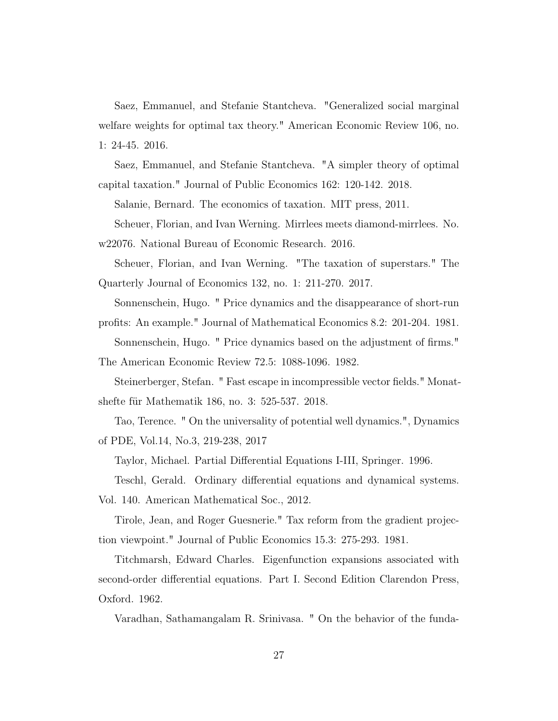Saez, Emmanuel, and Stefanie Stantcheva. "Generalized social marginal welfare weights for optimal tax theory." American Economic Review 106, no. 1: 24-45. 2016.

Saez, Emmanuel, and Stefanie Stantcheva. "A simpler theory of optimal capital taxation." Journal of Public Economics 162: 120-142. 2018.

Salanie, Bernard. The economics of taxation. MIT press, 2011.

Scheuer, Florian, and Ivan Werning. Mirrlees meets diamond-mirrlees. No. w22076. National Bureau of Economic Research. 2016.

Scheuer, Florian, and Ivan Werning. "The taxation of superstars." The Quarterly Journal of Economics 132, no. 1: 211-270. 2017.

Sonnenschein, Hugo. " Price dynamics and the disappearance of short-run profits: An example." Journal of Mathematical Economics 8.2: 201-204. 1981.

Sonnenschein, Hugo. " Price dynamics based on the adjustment of firms."

The American Economic Review 72.5: 1088-1096. 1982.

Steinerberger, Stefan. " Fast escape in incompressible vector fields." Monatshefte für Mathematik 186, no. 3: 525-537. 2018.

Tao, Terence. " On the universality of potential well dynamics.", Dynamics of PDE, Vol.14, No.3, 219-238, 2017

Taylor, Michael. Partial Differential Equations I-III, Springer. 1996.

Teschl, Gerald. Ordinary differential equations and dynamical systems. Vol. 140. American Mathematical Soc., 2012.

Tirole, Jean, and Roger Guesnerie." Tax reform from the gradient projection viewpoint." Journal of Public Economics 15.3: 275-293. 1981.

Titchmarsh, Edward Charles. Eigenfunction expansions associated with second-order differential equations. Part I. Second Edition Clarendon Press, Oxford. 1962.

Varadhan, Sathamangalam R. Srinivasa. " On the behavior of the funda-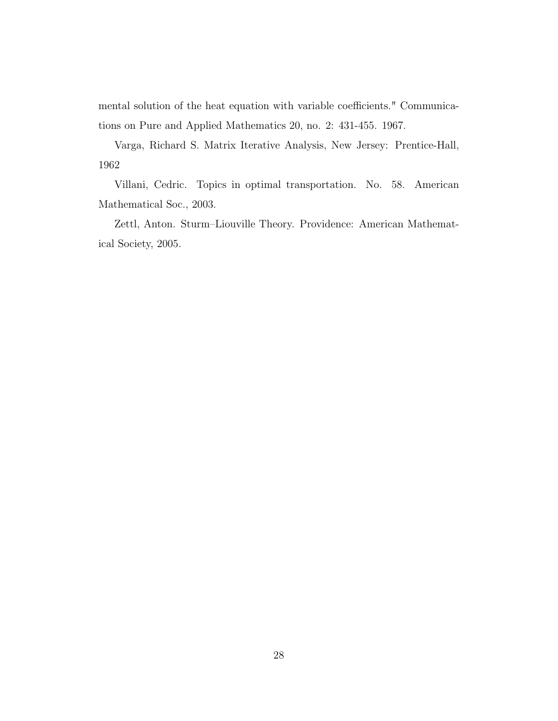mental solution of the heat equation with variable coefficients." Communications on Pure and Applied Mathematics 20, no. 2: 431-455. 1967.

Varga, Richard S. Matrix Iterative Analysis, New Jersey: Prentice-Hall, 1962

Villani, Cedric. Topics in optimal transportation. No. 58. American Mathematical Soc., 2003.

Zettl, Anton. Sturm–Liouville Theory. Providence: American Mathematical Society, 2005.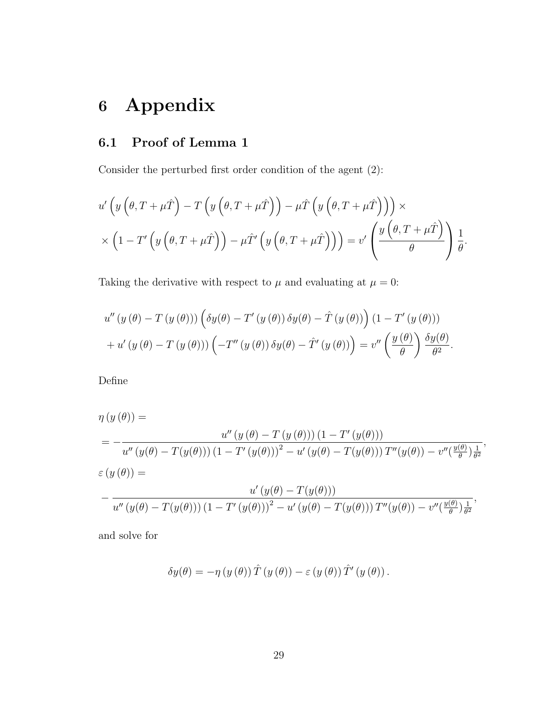# 6 Appendix

## 6.1 Proof of Lemma 1

Consider the perturbed first order condition of the agent (2):

$$
u'\left(y\left(\theta,T+\mu\hat{T}\right)-T\left(y\left(\theta,T+\mu\hat{T}\right)\right)-\mu\hat{T}\left(y\left(\theta,T+\mu\hat{T}\right)\right)\right)\times \times\left(1-T'\left(y\left(\theta,T+\mu\hat{T}\right)\right)-\mu\hat{T}'\left(y\left(\theta,T+\mu\hat{T}\right)\right)\right)=v'\left(\frac{y\left(\theta,T+\mu\hat{T}\right)}{\theta}\right)\frac{1}{\theta}.
$$

Taking the derivative with respect to  $\mu$  and evaluating at  $\mu = 0$ :

$$
u''(y(\theta) - T(y(\theta))) \left( \delta y(\theta) - T'(y(\theta)) \delta y(\theta) - \hat{T}(y(\theta)) \right) (1 - T'(y(\theta)))
$$
  
+ 
$$
u'(y(\theta) - T(y(\theta))) \left( -T''(y(\theta)) \delta y(\theta) - \hat{T}'(y(\theta)) \right) = v'' \left( \frac{y(\theta)}{\theta} \right) \frac{\delta y(\theta)}{\theta^2}.
$$

Define

$$
\eta(y(\theta)) =
$$
\n
$$
= -\frac{u''(y(\theta) - T(y(\theta)))(1 - T'(y(\theta)))}{u''(y(\theta) - T(y(\theta))) (1 - T'(y(\theta)))^2 - u'(y(\theta) - T(y(\theta))) T''(y(\theta)) - v''(\frac{y(\theta)}{\theta})\frac{1}{\theta^2}},
$$
\n
$$
\varepsilon(y(\theta)) =
$$
\n
$$
- \frac{u'(y(\theta) - T(y(\theta)))}{u''(y(\theta) - T(y(\theta))) (1 - T'(y(\theta)))^2 - u'(y(\theta) - T(y(\theta))) T''(y(\theta)) - v''(\frac{y(\theta)}{\theta})\frac{1}{\theta^2}},
$$

and solve for

$$
\delta y(\theta) = -\eta (y(\theta)) \hat{T} (y(\theta)) - \varepsilon (y(\theta)) \hat{T}' (y(\theta))
$$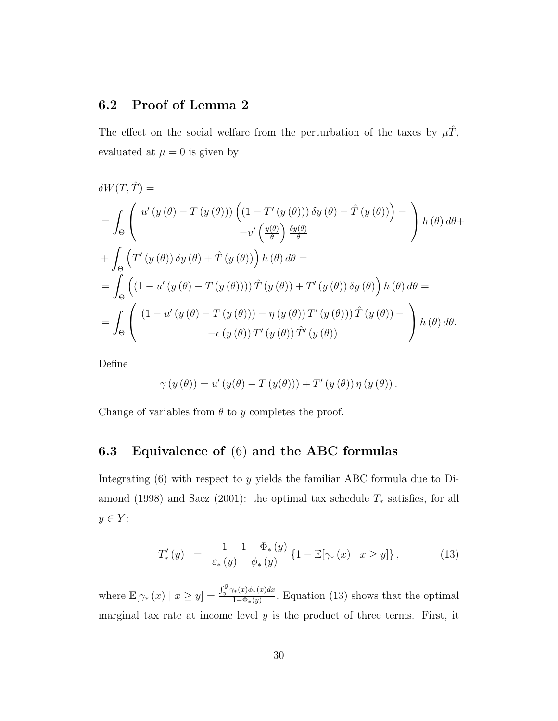#### 6.2 Proof of Lemma 2

The effect on the social welfare from the perturbation of the taxes by  $\mu \hat{T}$ , evaluated at  $\mu = 0$  is given by

$$
\delta W(T, \hat{T}) =
$$
\n
$$
= \int_{\Theta} \left( \begin{array}{c} u'(y(\theta) - T(y(\theta))) \left( (1 - T'(y(\theta))) \delta y(\theta) - \hat{T}(y(\theta)) \right) - \\ -v' \left( \frac{y(\theta)}{\theta} \right) \frac{\delta y(\theta)}{\theta} \end{array} \right) h(\theta) d\theta +
$$
\n
$$
+ \int_{\Theta} \left( T'(y(\theta)) \delta y(\theta) + \hat{T}(y(\theta)) \right) h(\theta) d\theta =
$$
\n
$$
= \int_{\Theta} \left( (1 - u'(y(\theta) - T(y(\theta)))) \hat{T}(y(\theta)) + T'(y(\theta)) \delta y(\theta) \right) h(\theta) d\theta =
$$
\n
$$
= \int_{\Theta} \left( \frac{(1 - u'(y(\theta) - T(y(\theta))) - \eta(y(\theta)) T'(y(\theta)) \hat{T}(y(\theta)) - } -\epsilon(y(\theta)) T'(y(\theta)) \hat{T}'(y(\theta)) \right) h(\theta) d\theta.
$$

Define

$$
\gamma(y(\theta)) = u'(y(\theta) - T(y(\theta))) + T'(y(\theta)) \eta(y(\theta)).
$$

Change of variables from  $\theta$  to y completes the proof.

#### 6.3 Equivalence of (6) and the ABC formulas

Integrating (6) with respect to y yields the familiar ABC formula due to Diamond (1998) and Saez (2001): the optimal tax schedule  $T_*$  satisfies, for all  $y\in Y$  :

$$
T'_{*}(y) = \frac{1}{\varepsilon_{*}(y)} \frac{1 - \Phi_{*}(y)}{\phi_{*}(y)} \left\{ 1 - \mathbb{E}[\gamma_{*}(x) \mid x \ge y] \right\},
$$
 (13)

where  $\mathbb{E}[\gamma_*(x) \mid x \geq y] = \frac{\int_y^{\bar{y}} \gamma_*(x) \phi_*(x) dx}{1 - \Phi_*(y)}$  $\frac{1}{1-\Phi_*(y)}$ . Equation (13) shows that the optimal marginal tax rate at income level  $y$  is the product of three terms. First, it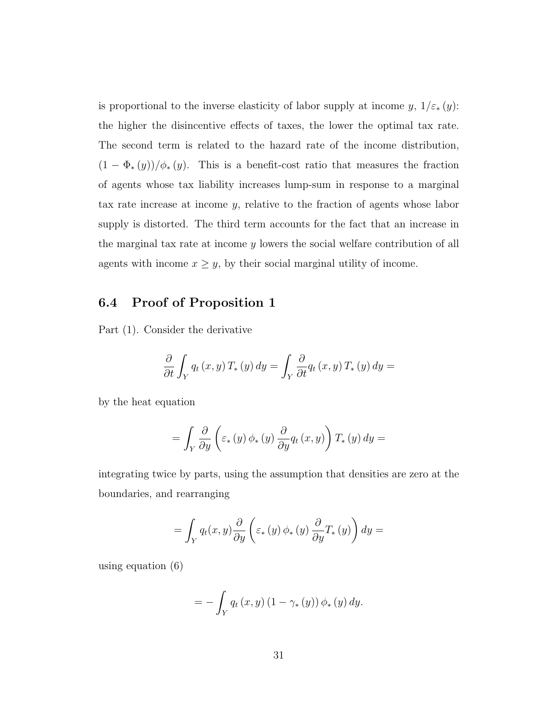is proportional to the inverse elasticity of labor supply at income  $y$ ,  $1/\varepsilon_*(y)$ : the higher the disincentive effects of taxes, the lower the optimal tax rate. The second term is related to the hazard rate of the income distribution,  $(1 - \Phi_*(y))/\phi_*(y)$ . This is a benefit-cost ratio that measures the fraction of agents whose tax liability increases lump-sum in response to a marginal tax rate increase at income y, relative to the fraction of agents whose labor supply is distorted. The third term accounts for the fact that an increase in the marginal tax rate at income y lowers the social welfare contribution of all agents with income  $x \geq y$ , by their social marginal utility of income.

## 6.4 Proof of Proposition 1

Part (1). Consider the derivative

$$
\frac{\partial}{\partial t} \int_{Y} q_t(x, y) T_*(y) dy = \int_{Y} \frac{\partial}{\partial t} q_t(x, y) T_*(y) dy =
$$

by the heat equation

$$
= \int_{Y} \frac{\partial}{\partial y} \left( \varepsilon_{*} \left( y \right) \phi_{*} \left( y \right) \frac{\partial}{\partial y} q_{t} \left( x, y \right) \right) T_{*} \left( y \right) dy =
$$

integrating twice by parts, using the assumption that densities are zero at the boundaries, and rearranging

$$
= \int_Y q_t(x,y) \frac{\partial}{\partial y} \left( \varepsilon_* (y) \phi_* (y) \frac{\partial}{\partial y} T_*(y) \right) dy =
$$

using equation (6)

$$
= -\int_{Y} q_{t}(x, y) (1 - \gamma_{*}(y)) \phi_{*}(y) dy.
$$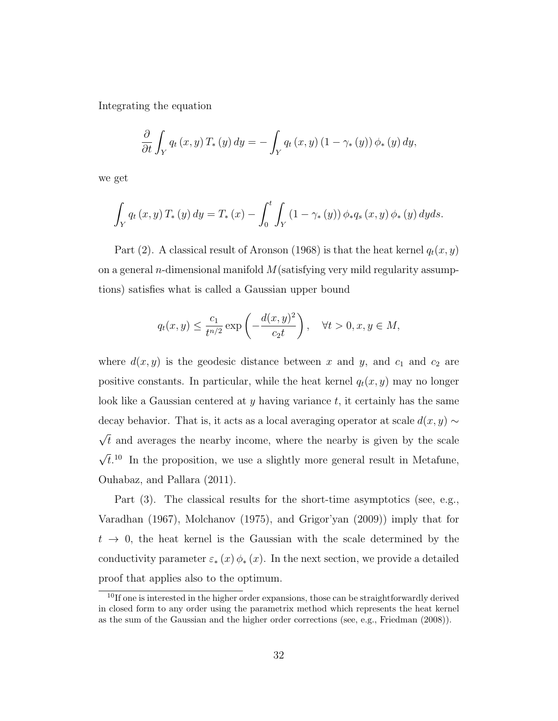Integrating the equation

$$
\frac{\partial}{\partial t} \int_Y q_t(x, y) T_*(y) dy = - \int_Y q_t(x, y) (1 - \gamma_*(y)) \phi_*(y) dy,
$$

we get

$$
\int_{Y} q_t(x, y) T_*(y) dy = T_*(x) - \int_0^t \int_{Y} (1 - \gamma_*(y)) \phi_* q_s(x, y) \phi_*(y) dy ds.
$$

Part (2). A classical result of Aronson (1968) is that the heat kernel  $q_t(x, y)$ on a general *n*-dimensional manifold  $M$  (satisfying very mild regularity assumptions) satisfies what is called a Gaussian upper bound

$$
q_t(x,y) \le \frac{c_1}{t^{n/2}} \exp\left(-\frac{d(x,y)^2}{c_2 t}\right), \quad \forall t > 0, x, y \in M,
$$

where  $d(x, y)$  is the geodesic distance between x and y, and  $c_1$  and  $c_2$  are positive constants. In particular, while the heat kernel  $q_t(x, y)$  may no longer look like a Gaussian centered at y having variance  $t$ , it certainly has the same decay behavior. That is, it acts as a local averaging operator at scale  $d(x, y) \sim$ √ t and averages the nearby income, where the nearby is given by the scale √  $\bar{t}$ <sup>10</sup>. In the proposition, we use a slightly more general result in Metafune, Ouhabaz, and Pallara (2011).

Part (3). The classical results for the short-time asymptotics (see, e.g., Varadhan (1967), Molchanov (1975), and Grigor'yan (2009)) imply that for  $t \rightarrow 0$ , the heat kernel is the Gaussian with the scale determined by the conductivity parameter  $\varepsilon_*(x) \phi_*(x)$ . In the next section, we provide a detailed proof that applies also to the optimum.

 $10$ If one is interested in the higher order expansions, those can be straightforwardly derived in closed form to any order using the parametrix method which represents the heat kernel as the sum of the Gaussian and the higher order corrections (see, e.g., Friedman (2008)).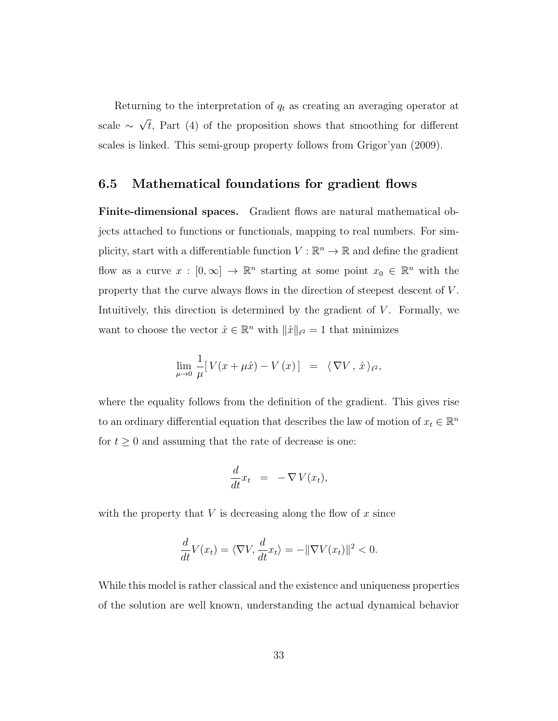Returning to the interpretation of  $q_t$  as creating an averaging operator at scale ∼ √ t, Part (4) of the proposition shows that smoothing for different scales is linked. This semi-group property follows from Grigor'yan (2009).

#### 6.5 Mathematical foundations for gradient flows

Finite-dimensional spaces. Gradient flows are natural mathematical objects attached to functions or functionals, mapping to real numbers. For simplicity, start with a differentiable function  $V : \mathbb{R}^n \to \mathbb{R}$  and define the gradient flow as a curve  $x : [0, \infty] \to \mathbb{R}^n$  starting at some point  $x_0 \in \mathbb{R}^n$  with the property that the curve always flows in the direction of steepest descent of V . Intuitively, this direction is determined by the gradient of  $V$ . Formally, we want to choose the vector  $\hat{x} \in \mathbb{R}^n$  with  $\|\hat{x}\|_{\ell^2} = 1$  that minimizes

$$
\lim_{\mu \to 0} \frac{1}{\mu} [V(x + \mu \hat{x}) - V(x)] = \langle \nabla V, \hat{x} \rangle_{\ell^2},
$$

where the equality follows from the definition of the gradient. This gives rise to an ordinary differential equation that describes the law of motion of  $x_t \in \mathbb{R}^n$ for  $t\geq 0$  and assuming that the rate of decrease is one:

$$
\frac{d}{dt}x_t = -\nabla V(x_t),
$$

with the property that  $V$  is decreasing along the flow of  $x$  since

$$
\frac{d}{dt}V(x_t) = \langle \nabla V, \frac{d}{dt}x_t \rangle = -\|\nabla V(x_t)\|^2 < 0.
$$

While this model is rather classical and the existence and uniqueness properties of the solution are well known, understanding the actual dynamical behavior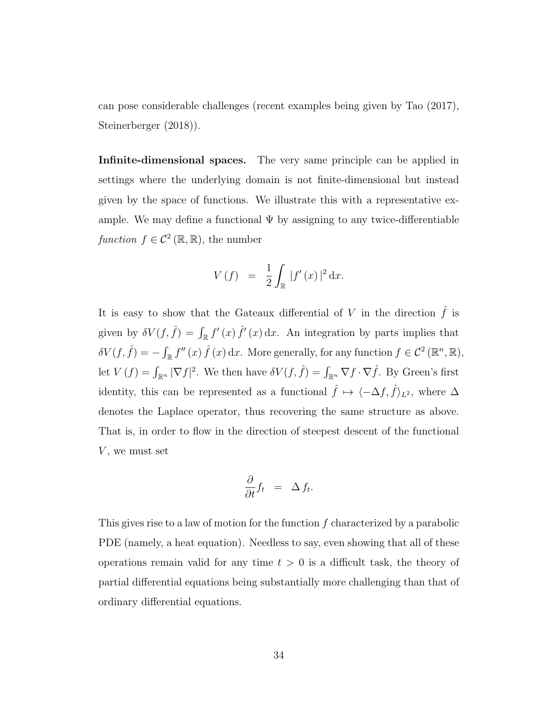can pose considerable challenges (recent examples being given by Tao (2017), Steinerberger (2018)).

**Infinite-dimensional spaces.** The very same principle can be applied in settings where the underlying domain is not finite-dimensional but instead given by the space of functions. We illustrate this with a representative example. We may define a functional  $\Psi$  by assigning to any twice-differentiable function  $f \in \mathcal{C}^2(\mathbb{R}, \mathbb{R})$ , the number

$$
V(f) = \frac{1}{2} \int_{\mathbb{R}} |f'(x)|^2 dx.
$$

It is easy to show that the Gateaux differential of V in the direction  $\tilde{f}$  is given by  $\delta V(f,\hat{f}) = \int_{\mathbb{R}} f'(x) \hat{f}'(x) dx$ . An integration by parts implies that  $\delta V(f, \hat{f}) = -\int_{\mathbb{R}} f''(x) \hat{f}(x) dx$ . More generally, for any function  $f \in C^2(\mathbb{R}^n, \mathbb{R}),$ let  $V(f) = \int_{\mathbb{R}^n} |\nabla f|^2$ . We then have  $\delta V(f, \hat{f}) = \int_{\mathbb{R}^n} \nabla f \cdot \nabla \hat{f}$ . By Green's first identity, this can be represented as a functional  $\hat{f} \mapsto \langle -\Delta f, \hat{f} \rangle_{L^2}$ , where  $\Delta$ denotes the Laplace operator, thus recovering the same structure as above. That is, in order to flow in the direction of steepest descent of the functional  $V$ , we must set

$$
\frac{\partial}{\partial t}f_t = \Delta f_t.
$$

This gives rise to a law of motion for the function f characterized by a parabolic PDE (namely, a heat equation). Needless to say, even showing that all of these operations remain valid for any time  $t > 0$  is a difficult task, the theory of partial differential equations being substantially more challenging than that of ordinary differential equations.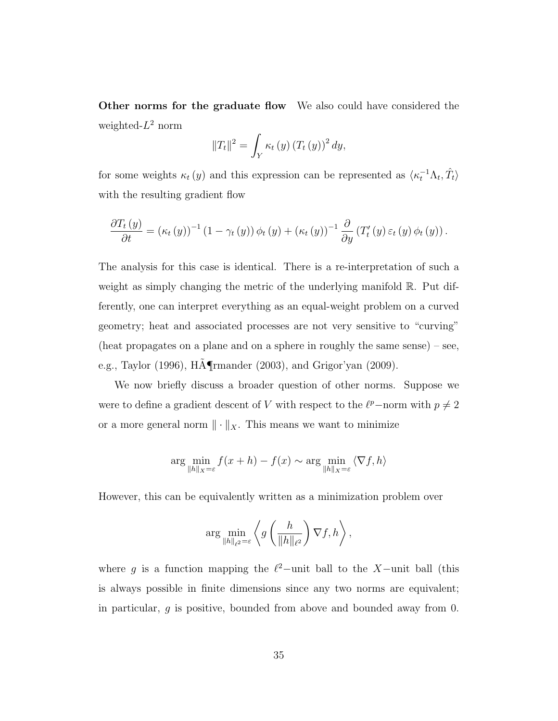Other norms for the graduate flow We also could have considered the weighted- $L^2$  norm

$$
||T_t||^2 = \int_Y \kappa_t(y) (T_t(y))^2 dy,
$$

for some weights  $\kappa_t(y)$  and this expression can be represented as  $\langle \kappa_t^{-1} \Lambda_t, \hat{T}_t \rangle$ with the resulting gradient flow

$$
\frac{\partial T_t(y)}{\partial t} = (\kappa_t(y))^{-1} (1 - \gamma_t(y)) \phi_t(y) + (\kappa_t(y))^{-1} \frac{\partial}{\partial y} (T'_t(y) \varepsilon_t(y) \phi_t(y)).
$$

The analysis for this case is identical. There is a re-interpretation of such a weight as simply changing the metric of the underlying manifold R. Put differently, one can interpret everything as an equal-weight problem on a curved geometry; heat and associated processes are not very sensitive to "curving" (heat propagates on a plane and on a sphere in roughly the same sense) – see, e.g., Taylor (1996), HA¶rmander (2003), and Grigor'yan (2009).

We now briefly discuss a broader question of other norms. Suppose we were to define a gradient descent of V with respect to the  $\ell^p$ -norm with  $p \neq 2$ or a more general norm  $\|\cdot\|_X$ . This means we want to minimize

$$
\arg\min_{\|h\|_X=\varepsilon} f(x+h) - f(x) \sim \arg\min_{\|h\|_X=\varepsilon} \langle \nabla f, h \rangle
$$

However, this can be equivalently written as a minimization problem over

$$
\arg\min_{\|h\|_{\ell^2}=\varepsilon}\left\langle g\left(\frac{h}{\|h\|_{\ell^2}}\right)\nabla f,h\right\rangle,
$$

where g is a function mapping the  $\ell^2$ -unit ball to the X-unit ball (this is always possible in finite dimensions since any two norms are equivalent; in particular, g is positive, bounded from above and bounded away from 0.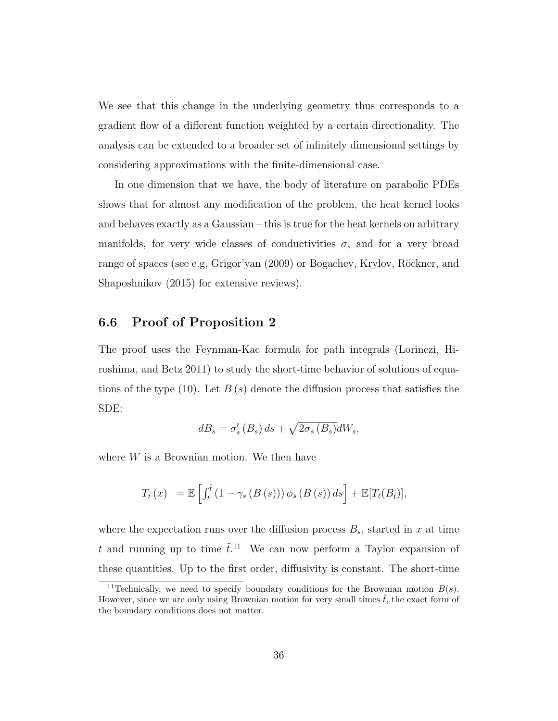We see that this change in the underlying geometry thus corresponds to a gradient flow of a different function weighted by a certain directionality. The analysis can be extended to a broader set of infinitely dimensional settings by considering approximations with the finite-dimensional case.

In one dimension that we have, the body of literature on parabolic PDEs shows that for almost any modification of the problem, the heat kernel looks and behaves exactly as a Gaussian – this is true for the heat kernels on arbitrary manifolds, for very wide classes of conductivities  $\sigma$ , and for a very broad range of spaces (see e.g, Grigor'yan (2009) or Bogachev, Krylov, Röckner, and Shaposhnikov (2015) for extensive reviews).

#### 6.6 Proof of Proposition 2

The proof uses the Feynman-Kac formula for path integrals (Lorinczi, Hiroshima, and Betz 2011) to study the short-time behavior of solutions of equations of the type (10). Let  $B(s)$  denote the diffusion process that satisfies the SDE:

$$
dB_s = \sigma'_s(B_s) ds + \sqrt{2\sigma_s(B_s)} dW_s,
$$

where  $W$  is a Brownian motion. We then have

$$
T_{\tilde{t}}(x) = \mathbb{E}\left[\int_t^{\tilde{t}} (1 - \gamma_s(B(s))) \phi_s(B(s)) ds\right] + \mathbb{E}[T_t(B_{\tilde{t}})],
$$

where the expectation runs over the diffusion process  $B_s$ , started in x at time t and running up to time  $\tilde{t}$ .<sup>11</sup> We can now perform a Taylor expansion of these quantities. Up to the first order, diffusivity is constant. The short-time

<sup>&</sup>lt;sup>11</sup>Technically, we need to specify boundary conditions for the Brownian motion  $B(s)$ . However, since we are only using Brownian motion for very small times  $\tilde{t}$ , the exact form of the boundary conditions does not matter.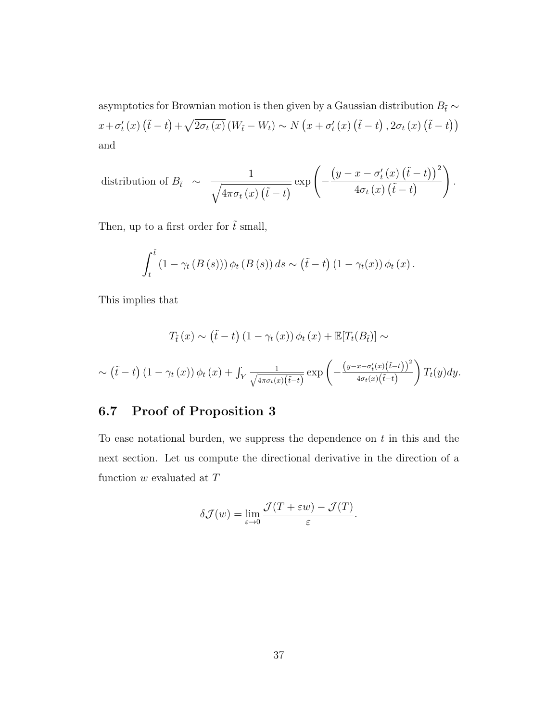asymptotics for Brownian motion is then given by a Gaussian distribution  $B_{\tilde{t}} \sim$  $x + \sigma'_{t}(x) (\tilde{t} - t) + \sqrt{2\sigma_{t}(x)} (W_{\tilde{t}} - W_{t}) \sim N(x + \sigma'_{t}(x) (\tilde{t} - t), 2\sigma_{t}(x) (\tilde{t} - t))$ and

distribution of 
$$
B_{\tilde{t}} \sim \frac{1}{\sqrt{4\pi\sigma_t(x)(\tilde{t}-t)}} \exp\left(-\frac{\left(y-x-\sigma'_t(x)\left(\tilde{t}-t\right)\right)^2}{4\sigma_t(x)\left(\tilde{t}-t\right)}\right).
$$

Then, up to a first order for  $\tilde{t}$  small,

$$
\int_t^{\tilde{t}} \left(1-\gamma_t\left(B\left(s\right)\right)\right)\phi_t\left(B\left(s\right)\right)ds \sim \left(\tilde{t}-t\right)\left(1-\gamma_t(x)\right)\phi_t\left(x\right).
$$

This implies that

$$
T_{\tilde{t}}(x) \sim (\tilde{t} - t) (1 - \gamma_t(x)) \phi_t(x) + \mathbb{E}[T_t(B_{\tilde{t}})] \sim
$$
  
 
$$
\sim (\tilde{t} - t) (1 - \gamma_t(x)) \phi_t(x) + \int_Y \frac{1}{\sqrt{4\pi\sigma_t(x)(\tilde{t}-t)}} \exp\left(-\frac{(y - x - \sigma'_t(x)(\tilde{t}-t))^2}{4\sigma_t(x)(\tilde{t}-t)}\right) T_t(y) dy.
$$

### 6.7 Proof of Proposition 3

To ease notational burden, we suppress the dependence on  $t$  in this and the next section. Let us compute the directional derivative in the direction of a function  $w$  evaluated at  $T$ 

$$
\delta \mathcal{J}(w) = \lim_{\varepsilon \to 0} \frac{\mathcal{J}(T + \varepsilon w) - \mathcal{J}(T)}{\varepsilon}.
$$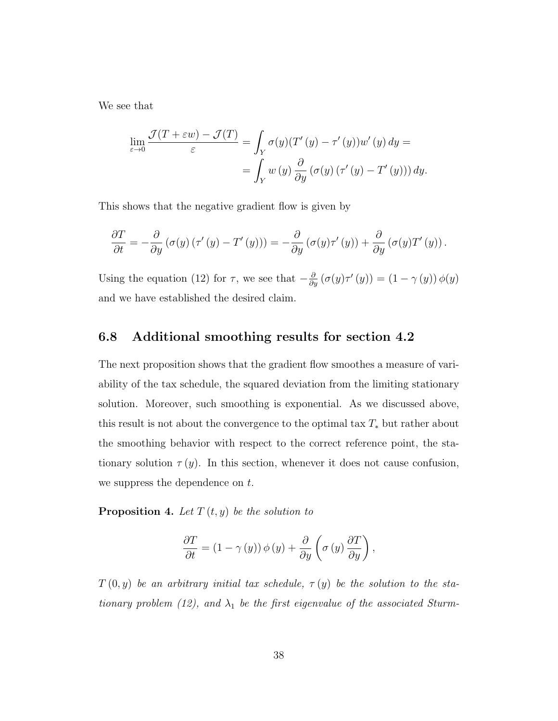We see that

$$
\lim_{\varepsilon \to 0} \frac{\mathcal{J}(T + \varepsilon w) - \mathcal{J}(T)}{\varepsilon} = \int_Y \sigma(y) (T'(y) - \tau'(y)) w'(y) dy =
$$

$$
= \int_Y w(y) \frac{\partial}{\partial y} (\sigma(y) (\tau'(y) - T'(y))) dy.
$$

This shows that the negative gradient flow is given by

$$
\frac{\partial T}{\partial t} = -\frac{\partial}{\partial y} \left( \sigma(y) \left( \tau'(y) - T'(y) \right) \right) = -\frac{\partial}{\partial y} \left( \sigma(y) \tau'(y) \right) + \frac{\partial}{\partial y} \left( \sigma(y) T'(y) \right).
$$

Using the equation (12) for  $\tau$ , we see that  $-\frac{\partial}{\partial y}(\sigma(y)\tau'(y)) = (1 - \gamma(y))\phi(y)$ and we have established the desired claim.

#### 6.8 Additional smoothing results for section 4.2

The next proposition shows that the gradient flow smoothes a measure of variability of the tax schedule, the squared deviation from the limiting stationary solution. Moreover, such smoothing is exponential. As we discussed above, this result is not about the convergence to the optimal tax  $T_*$  but rather about the smoothing behavior with respect to the correct reference point, the stationary solution  $\tau(y)$ . In this section, whenever it does not cause confusion, we suppress the dependence on t.

**Proposition 4.** Let  $T(t, y)$  be the solution to

$$
\frac{\partial T}{\partial t} = (1 - \gamma(y)) \phi(y) + \frac{\partial}{\partial y} \left( \sigma(y) \frac{\partial T}{\partial y} \right),
$$

 $T\left(0,y\right)$  be an arbitrary initial tax schedule,  $\tau\left(y\right)$  be the solution to the stationary problem (12), and  $\lambda_1$  be the first eigenvalue of the associated Sturm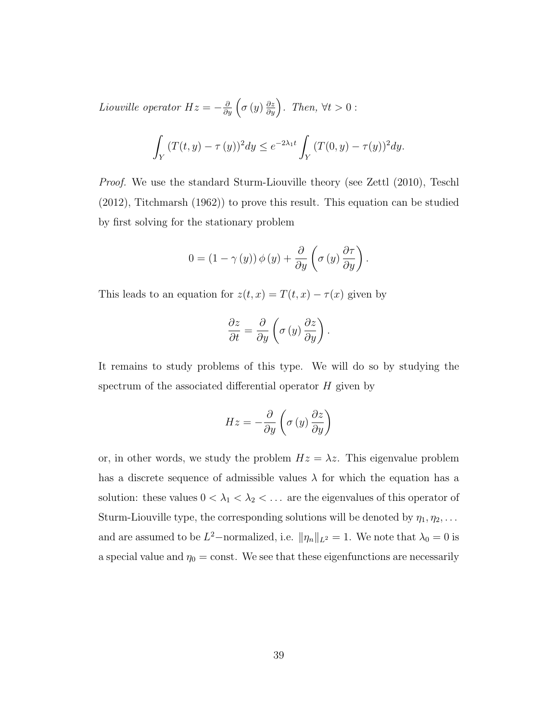Liouville operator  $Hz = -\frac{\partial}{\partial y} \left( \sigma \left( y \right) \frac{\partial z}{\partial y} \right)$ . Then,  $\forall t > 0$ :

$$
\int_Y (T(t, y) - \tau (y))^2 dy \le e^{-2\lambda_1 t} \int_Y (T(0, y) - \tau (y))^2 dy.
$$

Proof. We use the standard Sturm-Liouville theory (see Zettl (2010), Teschl (2012), Titchmarsh (1962)) to prove this result. This equation can be studied by first solving for the stationary problem

$$
0 = (1 - \gamma(y)) \phi(y) + \frac{\partial}{\partial y} \left( \sigma(y) \frac{\partial \tau}{\partial y} \right).
$$

This leads to an equation for  $z(t, x) = T(t, x) - \tau(x)$  given by

$$
\frac{\partial z}{\partial t} = \frac{\partial}{\partial y} \left( \sigma \left( y \right) \frac{\partial z}{\partial y} \right).
$$

It remains to study problems of this type. We will do so by studying the spectrum of the associated differential operator  $H$  given by

$$
Hz = -\frac{\partial}{\partial y} \left( \sigma \left( y \right) \frac{\partial z}{\partial y} \right)
$$

or, in other words, we study the problem  $Hz = \lambda z$ . This eigenvalue problem has a discrete sequence of admissible values  $\lambda$  for which the equation has a solution: these values  $0 < \lambda_1 < \lambda_2 < \ldots$  are the eigenvalues of this operator of Sturm-Liouville type, the corresponding solutions will be denoted by  $\eta_1, \eta_2, \ldots$ and are assumed to be  $L^2$ -normalized, i.e.  $\|\eta_n\|_{L^2} = 1$ . We note that  $\lambda_0 = 0$  is a special value and  $\eta_0 = \text{const.}$  We see that these eigenfunctions are necessarily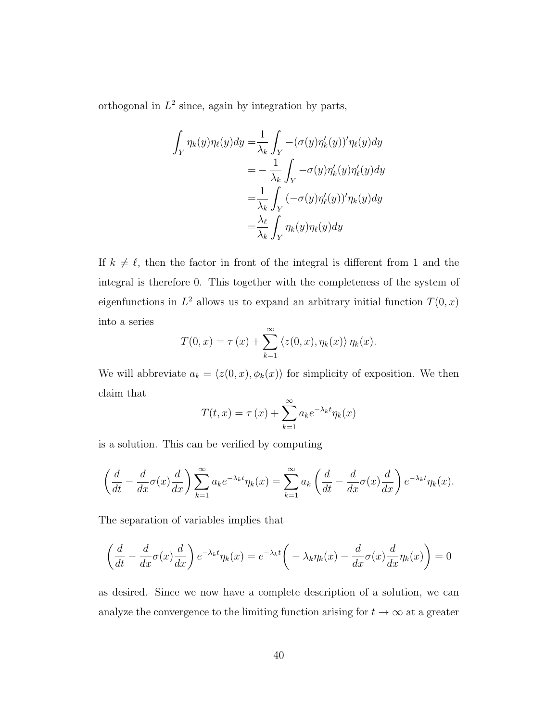orthogonal in  $L^2$  since, again by integration by parts,

$$
\int_{Y} \eta_{k}(y)\eta_{\ell}(y)dy = \frac{1}{\lambda_{k}} \int_{Y} -(\sigma(y)\eta'_{k}(y))'\eta_{\ell}(y)dy
$$
  

$$
= -\frac{1}{\lambda_{k}} \int_{Y} -\sigma(y)\eta'_{k}(y)\eta'_{\ell}(y)dy
$$
  

$$
= \frac{1}{\lambda_{k}} \int_{Y} (-\sigma(y)\eta'_{\ell}(y))'\eta_{k}(y)dy
$$
  

$$
= \frac{\lambda_{\ell}}{\lambda_{k}} \int_{Y} \eta_{k}(y)\eta_{\ell}(y)dy
$$

If  $k \neq \ell$ , then the factor in front of the integral is different from 1 and the integral is therefore 0. This together with the completeness of the system of eigenfunctions in  $L^2$  allows us to expand an arbitrary initial function  $T(0, x)$ into a series

$$
T(0, x) = \tau(x) + \sum_{k=1}^{\infty} \langle z(0, x), \eta_k(x) \rangle \eta_k(x).
$$

We will abbreviate  $a_k = \langle z(0, x), \phi_k(x) \rangle$  for simplicity of exposition. We then claim that

$$
T(t,x) = \tau(x) + \sum_{k=1}^{\infty} a_k e^{-\lambda_k t} \eta_k(x)
$$

is a solution. This can be verified by computing

$$
\left(\frac{d}{dt} - \frac{d}{dx}\sigma(x)\frac{d}{dx}\right)\sum_{k=1}^{\infty} a_k e^{-\lambda_k t} \eta_k(x) = \sum_{k=1}^{\infty} a_k \left(\frac{d}{dt} - \frac{d}{dx}\sigma(x)\frac{d}{dx}\right) e^{-\lambda_k t} \eta_k(x).
$$

The separation of variables implies that

$$
\left(\frac{d}{dt} - \frac{d}{dx}\sigma(x)\frac{d}{dx}\right)e^{-\lambda_k t}\eta_k(x) = e^{-\lambda_k t}\left(-\lambda_k \eta_k(x) - \frac{d}{dx}\sigma(x)\frac{d}{dx}\eta_k(x)\right) = 0
$$

as desired. Since we now have a complete description of a solution, we can analyze the convergence to the limiting function arising for  $t \to \infty$  at a greater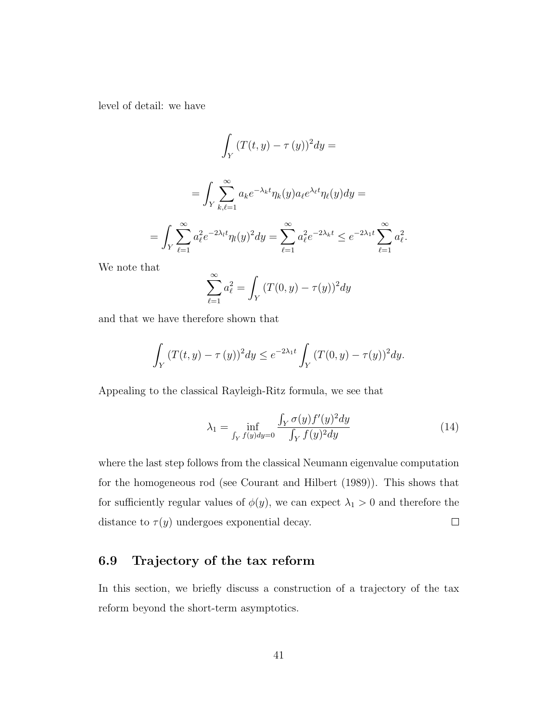level of detail: we have

$$
\int_Y (T(t, y) - \tau(y))^2 dy =
$$
\n
$$
= \int_Y \sum_{k,\ell=1}^{\infty} a_k e^{-\lambda_k t} \eta_k(y) a_\ell e^{\lambda_\ell t} \eta_\ell(y) dy =
$$
\n
$$
= \int_Y \sum_{\ell=1}^{\infty} a_\ell^2 e^{-2\lambda_l t} \eta_l(y)^2 dy = \sum_{\ell=1}^{\infty} a_\ell^2 e^{-2\lambda_k t} \le e^{-2\lambda_1 t} \sum_{\ell=1}^{\infty} a_\ell^2.
$$

We note that

$$
\sum_{\ell=1}^{\infty} a_{\ell}^{2} = \int_{Y} (T(0, y) - \tau(y))^{2} dy
$$

and that we have therefore shown that

$$
\int_Y (T(t, y) - \tau(y))^2 dy \le e^{-2\lambda_1 t} \int_Y (T(0, y) - \tau(y))^2 dy.
$$

Appealing to the classical Rayleigh-Ritz formula, we see that

$$
\lambda_1 = \inf_{\int_Y f(y) dy = 0} \frac{\int_Y \sigma(y) f'(y)^2 dy}{\int_Y f(y)^2 dy}
$$
\n(14)

where the last step follows from the classical Neumann eigenvalue computation for the homogeneous rod (see Courant and Hilbert (1989)). This shows that for sufficiently regular values of  $\phi(y)$ , we can expect  $\lambda_1 > 0$  and therefore the distance to  $\tau(y)$  undergoes exponential decay.  $\Box$ 

## 6.9 Trajectory of the tax reform

In this section, we briefly discuss a construction of a trajectory of the tax reform beyond the short-term asymptotics.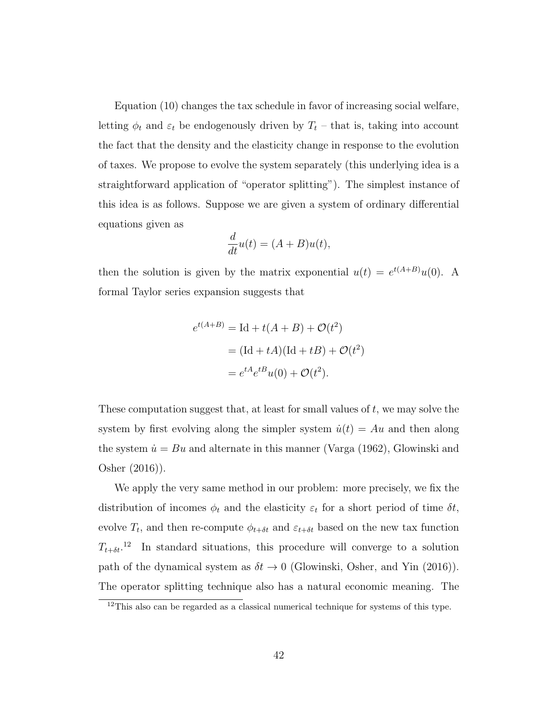Equation (10) changes the tax schedule in favor of increasing social welfare, letting  $\phi_t$  and  $\varepsilon_t$  be endogenously driven by  $T_t$  – that is, taking into account the fact that the density and the elasticity change in response to the evolution of taxes. We propose to evolve the system separately (this underlying idea is a straightforward application of "operator splitting"). The simplest instance of this idea is as follows. Suppose we are given a system of ordinary differential equations given as

$$
\frac{d}{dt}u(t) = (A+B)u(t),
$$

then the solution is given by the matrix exponential  $u(t) = e^{t(A+B)}u(0)$ . A formal Taylor series expansion suggests that

$$
e^{t(A+B)} = \text{Id} + t(A+B) + \mathcal{O}(t^2)
$$

$$
= (\text{Id} + tA)(\text{Id} + tB) + \mathcal{O}(t^2)
$$

$$
= e^{tA}e^{tB}u(0) + \mathcal{O}(t^2).
$$

These computation suggest that, at least for small values of  $t$ , we may solve the system by first evolving along the simpler system  $\dot{u}(t) = Au$  and then along the system  $\dot{u} = Bu$  and alternate in this manner (Varga (1962), Glowinski and Osher (2016)).

We apply the very same method in our problem: more precisely, we fix the distribution of incomes  $\phi_t$  and the elasticity  $\varepsilon_t$  for a short period of time  $\delta t$ , evolve  $T_t$ , and then re-compute  $\phi_{t+\delta t}$  and  $\varepsilon_{t+\delta t}$  based on the new tax function  $T_{t+\delta t}$ <sup>12</sup> In standard situations, this procedure will converge to a solution path of the dynamical system as  $\delta t \to 0$  (Glowinski, Osher, and Yin (2016)). The operator splitting technique also has a natural economic meaning. The

 $12$ This also can be regarded as a classical numerical technique for systems of this type.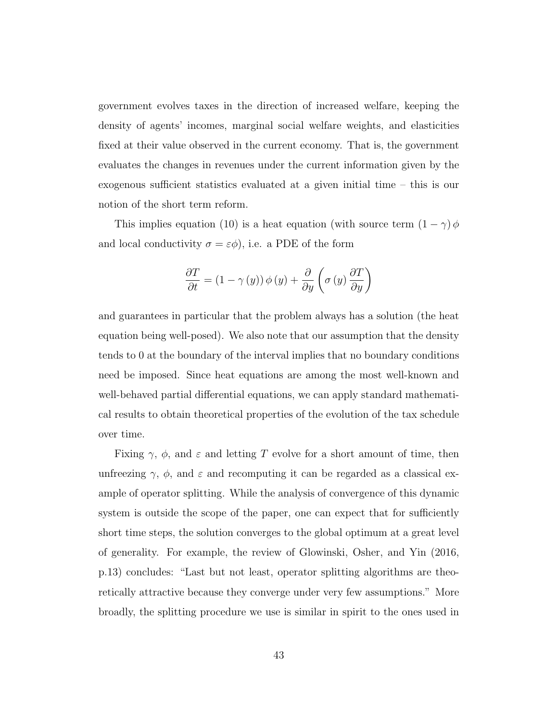government evolves taxes in the direction of increased welfare, keeping the density of agents' incomes, marginal social welfare weights, and elasticities fixed at their value observed in the current economy. That is, the government evaluates the changes in revenues under the current information given by the exogenous sufficient statistics evaluated at a given initial time – this is our notion of the short term reform.

This implies equation (10) is a heat equation (with source term  $(1 - \gamma) \phi$ and local conductivity  $\sigma = \varepsilon \phi$ , i.e. a PDE of the form

$$
\frac{\partial T}{\partial t} = (1 - \gamma(y)) \phi(y) + \frac{\partial}{\partial y} \left( \sigma(y) \frac{\partial T}{\partial y} \right)
$$

and guarantees in particular that the problem always has a solution (the heat equation being well-posed). We also note that our assumption that the density tends to 0 at the boundary of the interval implies that no boundary conditions need be imposed. Since heat equations are among the most well-known and well-behaved partial differential equations, we can apply standard mathematical results to obtain theoretical properties of the evolution of the tax schedule over time.

Fixing  $\gamma$ ,  $\phi$ , and  $\varepsilon$  and letting T evolve for a short amount of time, then unfreezing  $\gamma$ ,  $\phi$ , and  $\varepsilon$  and recomputing it can be regarded as a classical example of operator splitting. While the analysis of convergence of this dynamic system is outside the scope of the paper, one can expect that for sufficiently short time steps, the solution converges to the global optimum at a great level of generality. For example, the review of Glowinski, Osher, and Yin (2016, p.13) concludes: "Last but not least, operator splitting algorithms are theoretically attractive because they converge under very few assumptions." More broadly, the splitting procedure we use is similar in spirit to the ones used in